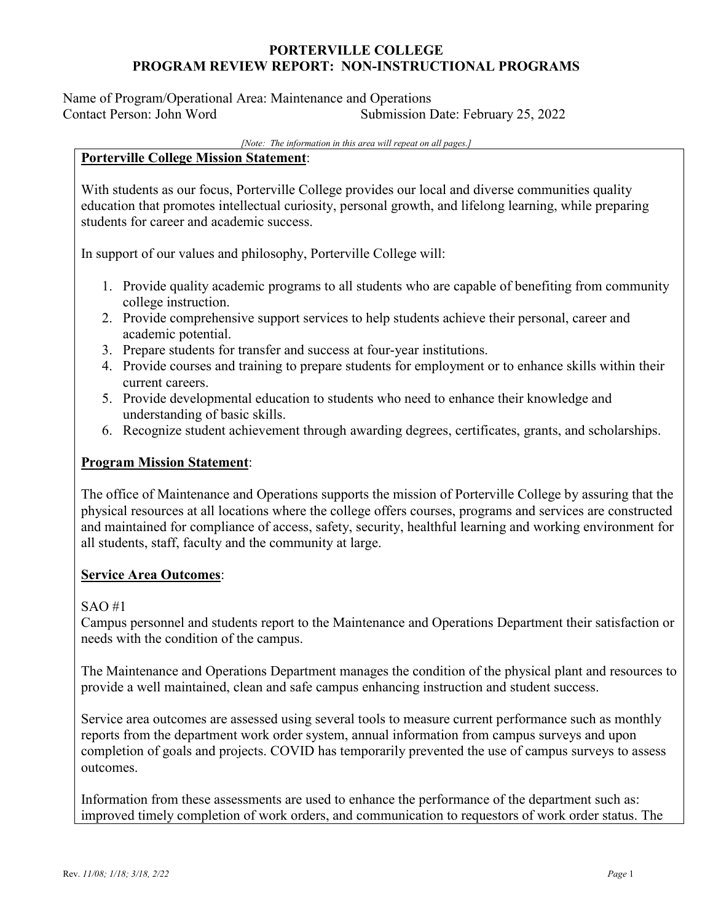Name of Program/Operational Area: Maintenance and Operations Contact Person: John Word Submission Date: February 25, 2022

#### *[Note: The information in this area will repeat on all pages.]*

#### **Porterville College Mission Statement**:

With students as our focus, Porterville College provides our local and diverse communities quality education that promotes intellectual curiosity, personal growth, and lifelong learning, while preparing students for career and academic success.

In support of our values and philosophy, Porterville College will:

- 1. Provide quality academic programs to all students who are capable of benefiting from community college instruction.
- 2. Provide comprehensive support services to help students achieve their personal, career and academic potential.
- 3. Prepare students for transfer and success at four-year institutions.
- 4. Provide courses and training to prepare students for employment or to enhance skills within their current careers.
- 5. Provide developmental education to students who need to enhance their knowledge and understanding of basic skills.
- 6. Recognize student achievement through awarding degrees, certificates, grants, and scholarships.

### **Program Mission Statement**:

The office of Maintenance and Operations supports the mission of Porterville College by assuring that the physical resources at all locations where the college offers courses, programs and services are constructed and maintained for compliance of access, safety, security, healthful learning and working environment for all students, staff, faculty and the community at large.

### **Service Area Outcomes**:

### SAO #1

Campus personnel and students report to the Maintenance and Operations Department their satisfaction or needs with the condition of the campus.

The Maintenance and Operations Department manages the condition of the physical plant and resources to provide a well maintained, clean and safe campus enhancing instruction and student success.

Service area outcomes are assessed using several tools to measure current performance such as monthly reports from the department work order system, annual information from campus surveys and upon completion of goals and projects. COVID has temporarily prevented the use of campus surveys to assess outcomes.

Information from these assessments are used to enhance the performance of the department such as: improved timely completion of work orders, and communication to requestors of work order status. The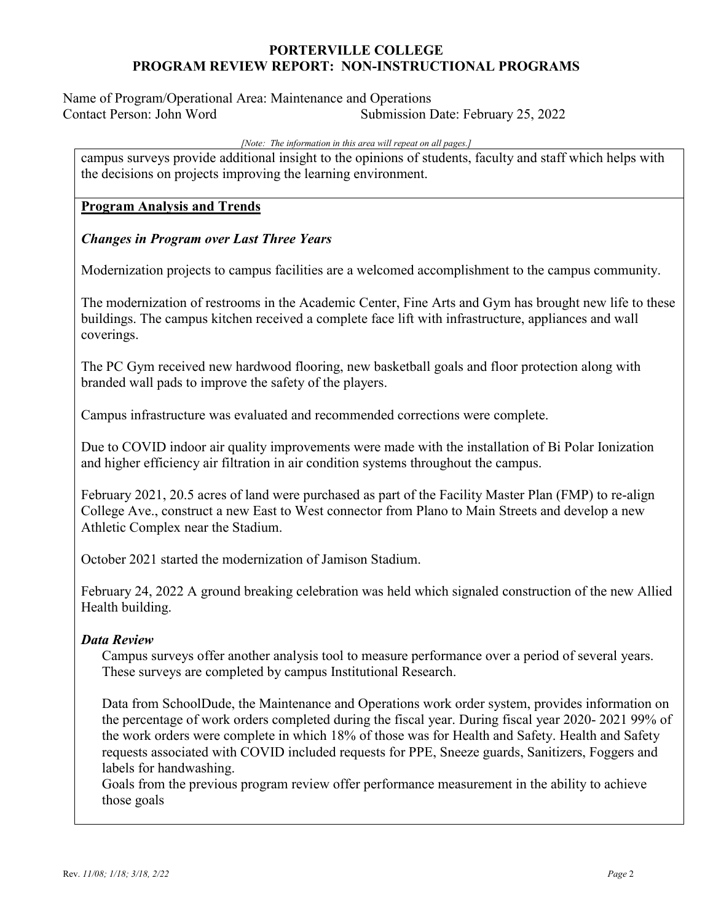Name of Program/Operational Area: Maintenance and Operations Contact Person: John Word Submission Date: February 25, 2022

#### *[Note: The information in this area will repeat on all pages.]*

campus surveys provide additional insight to the opinions of students, faculty and staff which helps with the decisions on projects improving the learning environment.

#### **Program Analysis and Trends**

#### *Changes in Program over Last Three Years*

Modernization projects to campus facilities are a welcomed accomplishment to the campus community.

The modernization of restrooms in the Academic Center, Fine Arts and Gym has brought new life to these buildings. The campus kitchen received a complete face lift with infrastructure, appliances and wall coverings.

The PC Gym received new hardwood flooring, new basketball goals and floor protection along with branded wall pads to improve the safety of the players.

Campus infrastructure was evaluated and recommended corrections were complete.

Due to COVID indoor air quality improvements were made with the installation of Bi Polar Ionization and higher efficiency air filtration in air condition systems throughout the campus.

February 2021, 20.5 acres of land were purchased as part of the Facility Master Plan (FMP) to re-align College Ave., construct a new East to West connector from Plano to Main Streets and develop a new Athletic Complex near the Stadium.

October 2021 started the modernization of Jamison Stadium.

February 24, 2022 A ground breaking celebration was held which signaled construction of the new Allied Health building.

#### *Data Review*

Campus surveys offer another analysis tool to measure performance over a period of several years. These surveys are completed by campus Institutional Research.

Data from SchoolDude, the Maintenance and Operations work order system, provides information on the percentage of work orders completed during the fiscal year. During fiscal year 2020- 2021 99% of the work orders were complete in which 18% of those was for Health and Safety. Health and Safety requests associated with COVID included requests for PPE, Sneeze guards, Sanitizers, Foggers and labels for handwashing.

Goals from the previous program review offer performance measurement in the ability to achieve those goals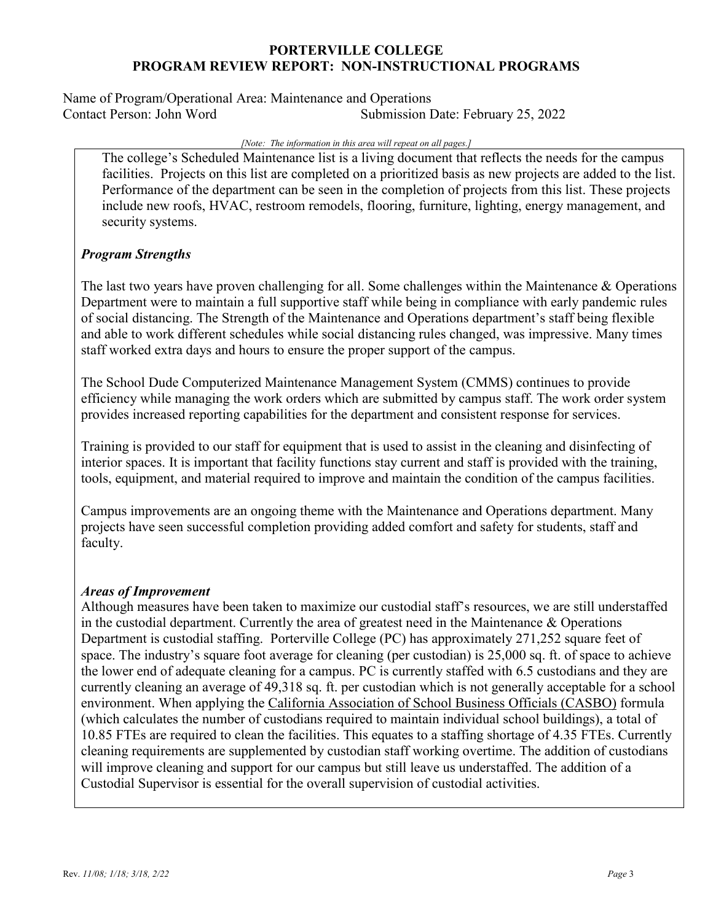Name of Program/Operational Area: Maintenance and Operations Contact Person: John Word Submission Date: February 25, 2022

#### *[Note: The information in this area will repeat on all pages.]*

The college's Scheduled Maintenance list is a living document that reflects the needs for the campus facilities. Projects on this list are completed on a prioritized basis as new projects are added to the list. Performance of the department can be seen in the completion of projects from this list. These projects include new roofs, HVAC, restroom remodels, flooring, furniture, lighting, energy management, and security systems.

## *Program Strengths*

The last two years have proven challenging for all. Some challenges within the Maintenance & Operations Department were to maintain a full supportive staff while being in compliance with early pandemic rules of social distancing. The Strength of the Maintenance and Operations department's staff being flexible and able to work different schedules while social distancing rules changed, was impressive. Many times staff worked extra days and hours to ensure the proper support of the campus.

The School Dude Computerized Maintenance Management System (CMMS) continues to provide efficiency while managing the work orders which are submitted by campus staff. The work order system provides increased reporting capabilities for the department and consistent response for services.

Training is provided to our staff for equipment that is used to assist in the cleaning and disinfecting of interior spaces. It is important that facility functions stay current and staff is provided with the training, tools, equipment, and material required to improve and maintain the condition of the campus facilities.

Campus improvements are an ongoing theme with the Maintenance and Operations department. Many projects have seen successful completion providing added comfort and safety for students, staff and faculty.

### *Areas of Improvement*

Although measures have been taken to maximize our custodial staff's resources, we are still understaffed in the custodial department. Currently the area of greatest need in the Maintenance & Operations Department is custodial staffing. Porterville College (PC) has approximately 271,252 square feet of space. The industry's square foot average for cleaning (per custodian) is 25,000 sq. ft. of space to achieve the lower end of adequate cleaning for a campus. PC is currently staffed with 6.5 custodians and they are currently cleaning an average of 49,318 sq. ft. per custodian which is not generally acceptable for a school environment. When applying the California Association of School Business Officials (CASBO) formula (which calculates the number of custodians required to maintain individual school buildings), a total of 10.85 FTEs are required to clean the facilities. This equates to a staffing shortage of 4.35 FTEs. Currently cleaning requirements are supplemented by custodian staff working overtime. The addition of custodians will improve cleaning and support for our campus but still leave us understaffed. The addition of a Custodial Supervisor is essential for the overall supervision of custodial activities.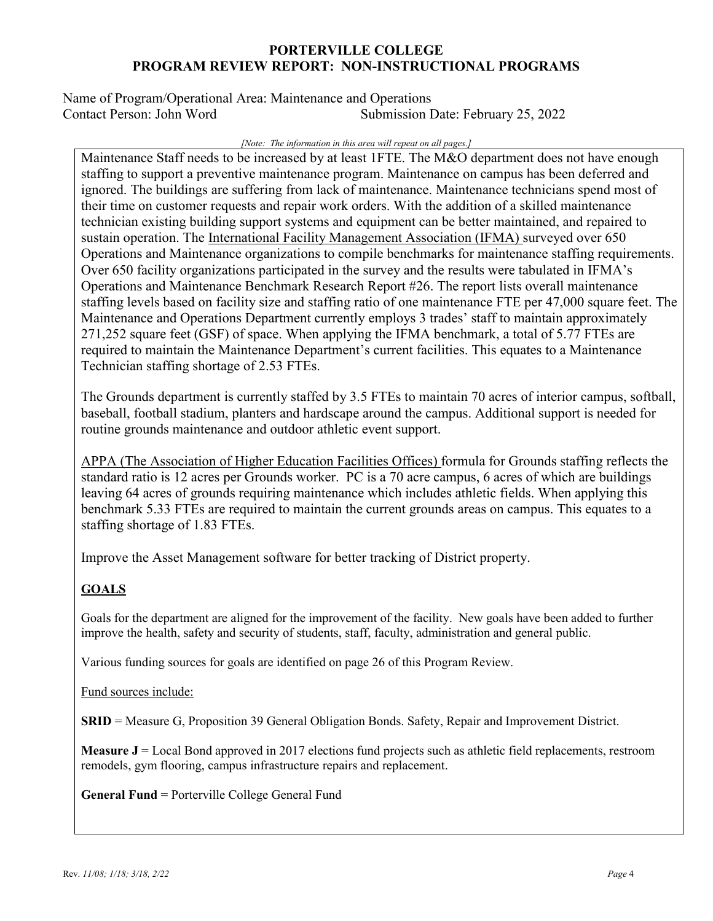Name of Program/Operational Area: Maintenance and Operations Contact Person: John Word Submission Date: February 25, 2022

#### *[Note: The information in this area will repeat on all pages.]*

Maintenance Staff needs to be increased by at least 1FTE. The M&O department does not have enough staffing to support a preventive maintenance program. Maintenance on campus has been deferred and ignored. The buildings are suffering from lack of maintenance. Maintenance technicians spend most of their time on customer requests and repair work orders. With the addition of a skilled maintenance technician existing building support systems and equipment can be better maintained, and repaired to sustain operation. The International Facility Management Association (IFMA) surveyed over 650 Operations and Maintenance organizations to compile benchmarks for maintenance staffing requirements. Over 650 facility organizations participated in the survey and the results were tabulated in IFMA's Operations and Maintenance Benchmark Research Report #26. The report lists overall maintenance staffing levels based on facility size and staffing ratio of one maintenance FTE per 47,000 square feet. The Maintenance and Operations Department currently employs 3 trades' staff to maintain approximately 271,252 square feet (GSF) of space. When applying the IFMA benchmark, a total of 5.77 FTEs are required to maintain the Maintenance Department's current facilities. This equates to a Maintenance Technician staffing shortage of 2.53 FTEs.

The Grounds department is currently staffed by 3.5 FTEs to maintain 70 acres of interior campus, softball, baseball, football stadium, planters and hardscape around the campus. Additional support is needed for routine grounds maintenance and outdoor athletic event support.

APPA (The Association of Higher Education Facilities Offices) formula for Grounds staffing reflects the standard ratio is 12 acres per Grounds worker. PC is a 70 acre campus, 6 acres of which are buildings leaving 64 acres of grounds requiring maintenance which includes athletic fields. When applying this benchmark 5.33 FTEs are required to maintain the current grounds areas on campus. This equates to a staffing shortage of 1.83 FTEs.

Improve the Asset Management software for better tracking of District property.

# **GOALS**

Goals for the department are aligned for the improvement of the facility. New goals have been added to further improve the health, safety and security of students, staff, faculty, administration and general public.

Various funding sources for goals are identified on page 26 of this Program Review.

Fund sources include:

**SRID** = Measure G, Proposition 39 General Obligation Bonds. Safety, Repair and Improvement District.

**Measure J** = Local Bond approved in 2017 elections fund projects such as athletic field replacements, restroom remodels, gym flooring, campus infrastructure repairs and replacement.

**General Fund** = Porterville College General Fund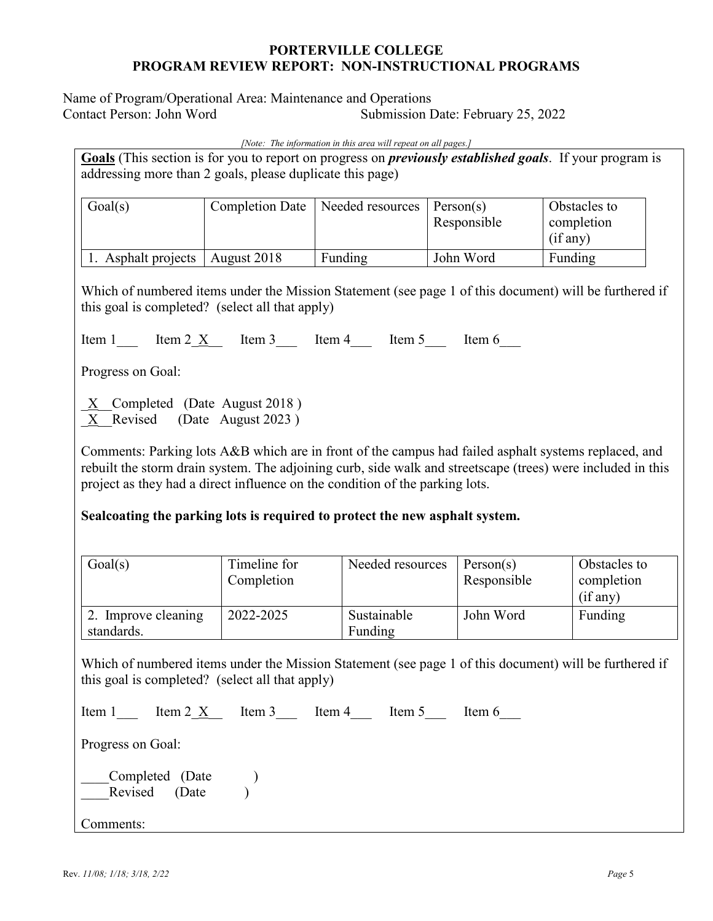Name of Program/Operational Area: Maintenance and Operations Contact Person: John Word Submission Date: February 25, 2022

*[Note: The information in this area will repeat on all pages.]*

**Goals** (This section is for you to report on progress on *previously established goals*. If your program is addressing more than 2 goals, please duplicate this page)

| Goal(s)             |             | Completion Date   Needed resources | Person(s)<br>Responsible | Obstacles to<br>completion<br>(if any) |
|---------------------|-------------|------------------------------------|--------------------------|----------------------------------------|
| 1. Asphalt projects | August 2018 | Funding                            | John Word                | Funding                                |

Which of numbered items under the Mission Statement (see page 1 of this document) will be furthered if this goal is completed? (select all that apply)

Item 1  $\text{Item 2 X}$  Item 3  $\text{Item 4}$  Item 5 Item 6

Progress on Goal:

X Completed (Date August 2018 ) X Revised (Date August 2023)

Comments: Parking lots A&B which are in front of the campus had failed asphalt systems replaced, and rebuilt the storm drain system. The adjoining curb, side walk and streetscape (trees) were included in this project as they had a direct influence on the condition of the parking lots.

## **Sealcoating the parking lots is required to protect the new asphalt system.**

| Goal(s)                           | Timeline for<br>Completion | Needed resources       | Person(s)<br>Responsible | Obstacles to<br>completion<br>(if any) |
|-----------------------------------|----------------------------|------------------------|--------------------------|----------------------------------------|
| 2. Improve cleaning<br>standards. | 2022-2025                  | Sustainable<br>Funding | John Word                | Funding                                |

Which of numbered items under the Mission Statement (see page 1 of this document) will be furthered if this goal is completed? (select all that apply)

| Item 1            | Item 2 $\overline{X}$ Item 3 Item 4 |  | Item 5 | Item 6 |
|-------------------|-------------------------------------|--|--------|--------|
| Progress on Goal: |                                     |  |        |        |
|                   | Completed (Date<br>Revised (Date    |  |        |        |
| Comments:         |                                     |  |        |        |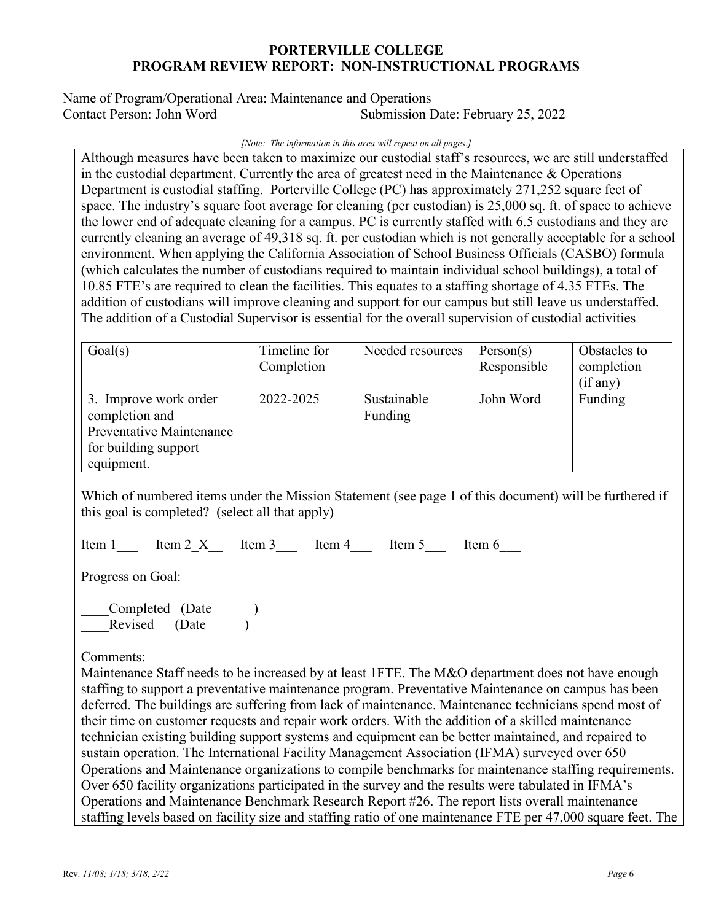Name of Program/Operational Area: Maintenance and Operations Contact Person: John Word Submission Date: February 25, 2022

#### *[Note: The information in this area will repeat on all pages.]*

Although measures have been taken to maximize our custodial staff's resources, we are still understaffed in the custodial department. Currently the area of greatest need in the Maintenance  $\&$  Operations Department is custodial staffing. Porterville College (PC) has approximately 271,252 square feet of space. The industry's square foot average for cleaning (per custodian) is 25,000 sq. ft. of space to achieve the lower end of adequate cleaning for a campus. PC is currently staffed with 6.5 custodians and they are currently cleaning an average of 49,318 sq. ft. per custodian which is not generally acceptable for a school environment. When applying the California Association of School Business Officials (CASBO) formula (which calculates the number of custodians required to maintain individual school buildings), a total of 10.85 FTE's are required to clean the facilities. This equates to a staffing shortage of 4.35 FTEs. The addition of custodians will improve cleaning and support for our campus but still leave us understaffed. The addition of a Custodial Supervisor is essential for the overall supervision of custodial activities

| Goal(s)                                                                                                   | Timeline for<br>Completion | Needed resources       | Person(s)<br>Responsible | Obstacles to<br>completion<br>(if any) |
|-----------------------------------------------------------------------------------------------------------|----------------------------|------------------------|--------------------------|----------------------------------------|
| 3. Improve work order<br>completion and<br>Preventative Maintenance<br>for building support<br>equipment. | 2022-2025                  | Sustainable<br>Funding | John Word                | Funding                                |

Which of numbered items under the Mission Statement (see page 1 of this document) will be furthered if this goal is completed? (select all that apply)

Item 1  $\text{Item 2 X}$  Item 3  $\text{Item 4}$  Item 5 Item 6

Progress on Goal:

Completed (Date ) Revised (Date

### Comments:

Maintenance Staff needs to be increased by at least 1FTE. The M&O department does not have enough staffing to support a preventative maintenance program. Preventative Maintenance on campus has been deferred. The buildings are suffering from lack of maintenance. Maintenance technicians spend most of their time on customer requests and repair work orders. With the addition of a skilled maintenance technician existing building support systems and equipment can be better maintained, and repaired to sustain operation. The International Facility Management Association (IFMA) surveyed over 650 Operations and Maintenance organizations to compile benchmarks for maintenance staffing requirements. Over 650 facility organizations participated in the survey and the results were tabulated in IFMA's Operations and Maintenance Benchmark Research Report #26. The report lists overall maintenance staffing levels based on facility size and staffing ratio of one maintenance FTE per 47,000 square feet. The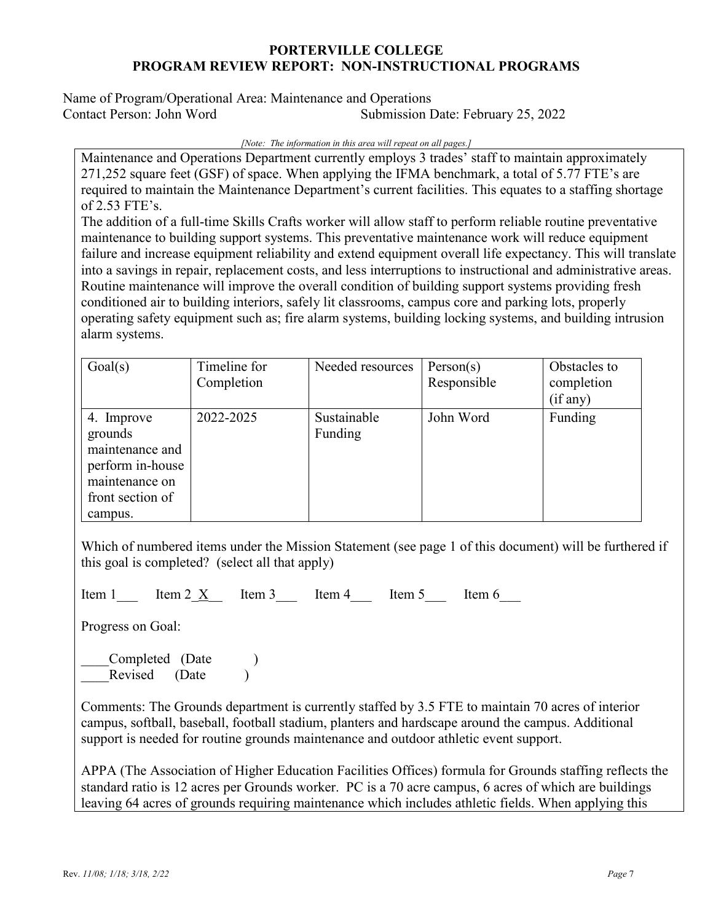Name of Program/Operational Area: Maintenance and Operations Contact Person: John Word Submission Date: February 25, 2022

*[Note: The information in this area will repeat on all pages.]*

Maintenance and Operations Department currently employs 3 trades' staff to maintain approximately 271,252 square feet (GSF) of space. When applying the IFMA benchmark, a total of 5.77 FTE's are required to maintain the Maintenance Department's current facilities. This equates to a staffing shortage of 2.53 FTE's.

The addition of a full-time Skills Crafts worker will allow staff to perform reliable routine preventative maintenance to building support systems. This preventative maintenance work will reduce equipment failure and increase equipment reliability and extend equipment overall life expectancy. This will translate into a savings in repair, replacement costs, and less interruptions to instructional and administrative areas. Routine maintenance will improve the overall condition of building support systems providing fresh conditioned air to building interiors, safely lit classrooms, campus core and parking lots, properly operating safety equipment such as; fire alarm systems, building locking systems, and building intrusion alarm systems.

| Goal(s)                                                                                                       | Timeline for<br>Completion | Needed resources       | Person(s)<br>Responsible | Obstacles to<br>completion<br>(if any) |
|---------------------------------------------------------------------------------------------------------------|----------------------------|------------------------|--------------------------|----------------------------------------|
| 4. Improve<br>grounds<br>maintenance and<br>perform in-house<br>maintenance on<br>front section of<br>campus. | 2022-2025                  | Sustainable<br>Funding | John Word                | Funding                                |

Which of numbered items under the Mission Statement (see page 1 of this document) will be furthered if this goal is completed? (select all that apply)

Item 1  $\text{Item 2} \times \text{Item 3}$  Item 4  $\text{Item 5}$  Item 6

Progress on Goal:

Completed (Date ) Revised (Date )

Comments: The Grounds department is currently staffed by 3.5 FTE to maintain 70 acres of interior campus, softball, baseball, football stadium, planters and hardscape around the campus. Additional support is needed for routine grounds maintenance and outdoor athletic event support.

APPA (The Association of Higher Education Facilities Offices) formula for Grounds staffing reflects the standard ratio is 12 acres per Grounds worker. PC is a 70 acre campus, 6 acres of which are buildings leaving 64 acres of grounds requiring maintenance which includes athletic fields. When applying this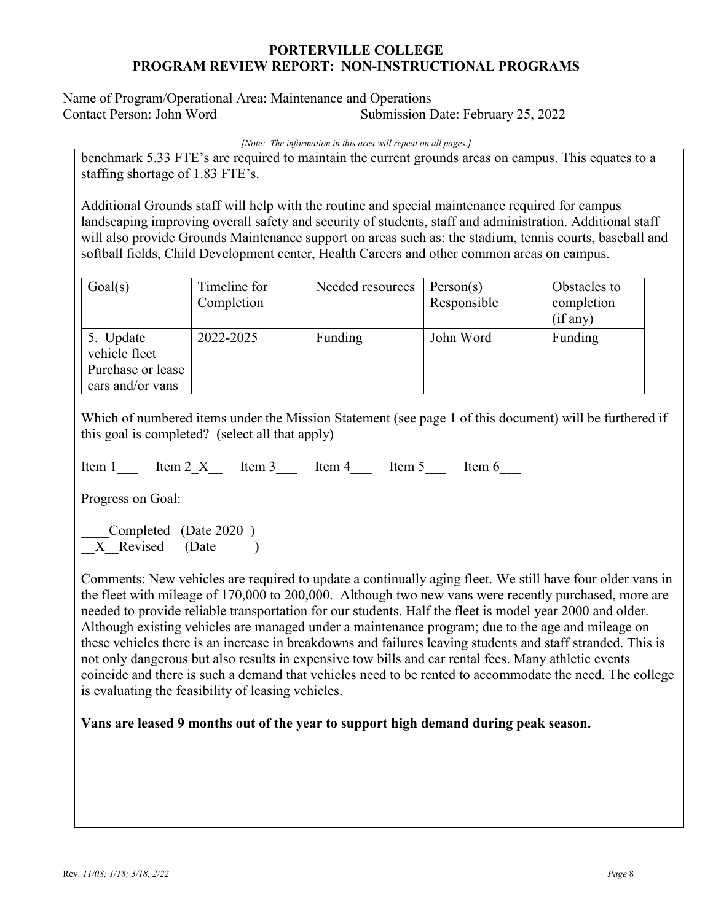Name of Program/Operational Area: Maintenance and Operations Contact Person: John Word Submission Date: February 25, 2022

*[Note: The information in this area will repeat on all pages.]*

benchmark 5.33 FTE's are required to maintain the current grounds areas on campus. This equates to a staffing shortage of 1.83 FTE's.

Additional Grounds staff will help with the routine and special maintenance required for campus landscaping improving overall safety and security of students, staff and administration. Additional staff will also provide Grounds Maintenance support on areas such as: the stadium, tennis courts, baseball and softball fields, Child Development center, Health Careers and other common areas on campus.

| Goal(s)                                                             | Timeline for<br>Completion | Needed resources | Person(s)<br>Responsible | Obstacles to<br>completion<br>(if any) |
|---------------------------------------------------------------------|----------------------------|------------------|--------------------------|----------------------------------------|
| 5. Update<br>vehicle fleet<br>Purchase or lease<br>cars and/or vans | 2022-2025                  | Funding          | John Word                | Funding                                |

Which of numbered items under the Mission Statement (see page 1 of this document) will be furthered if this goal is completed? (select all that apply)

Item 1  $\text{Item 2} \times \text{Item 3}$  Item 4  $\text{Item 5}$  Item 6

Progress on Goal:

Completed (Date 2020) X Revised (Date )

Comments: New vehicles are required to update a continually aging fleet. We still have four older vans in the fleet with mileage of 170,000 to 200,000. Although two new vans were recently purchased, more are needed to provide reliable transportation for our students. Half the fleet is model year 2000 and older. Although existing vehicles are managed under a maintenance program; due to the age and mileage on these vehicles there is an increase in breakdowns and failures leaving students and staff stranded. This is not only dangerous but also results in expensive tow bills and car rental fees. Many athletic events coincide and there is such a demand that vehicles need to be rented to accommodate the need. The college is evaluating the feasibility of leasing vehicles.

## **Vans are leased 9 months out of the year to support high demand during peak season.**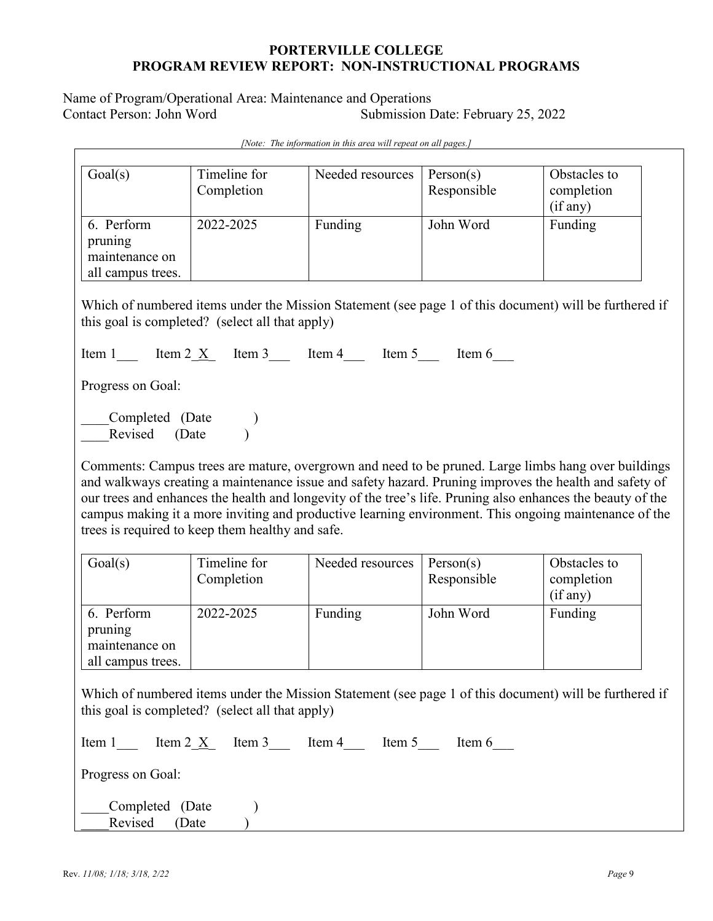Name of Program/Operational Area: Maintenance and Operations<br>Contact Person: John Word Submission I Submission Date: February 25, 2022

| Goal(s)                                                                                                        | Timeline for<br>Completion                       | Needed resources                                                                                                                                                                                                                                                                                                                                                                                                                      | Person(s)<br>Responsible | Obstacles to<br>completion<br>(if any) |
|----------------------------------------------------------------------------------------------------------------|--------------------------------------------------|---------------------------------------------------------------------------------------------------------------------------------------------------------------------------------------------------------------------------------------------------------------------------------------------------------------------------------------------------------------------------------------------------------------------------------------|--------------------------|----------------------------------------|
| 6. Perform<br>pruning<br>maintenance on<br>all campus trees.                                                   | 2022-2025                                        | Funding                                                                                                                                                                                                                                                                                                                                                                                                                               | John Word                | Funding                                |
|                                                                                                                | this goal is completed? (select all that apply)  | Which of numbered items under the Mission Statement (see page 1 of this document) will be furthered if                                                                                                                                                                                                                                                                                                                                |                          |                                        |
|                                                                                                                |                                                  | Item 1 Item 2 $\underline{X}$ Item 3 Item 4 Item 5 Item 6                                                                                                                                                                                                                                                                                                                                                                             |                          |                                        |
| Progress on Goal:                                                                                              |                                                  |                                                                                                                                                                                                                                                                                                                                                                                                                                       |                          |                                        |
| $\begin{array}{ll}\nCompleted & (Date) \\ \hline\nD \text{avised} & (Date) \\ \end{array}$<br>(Date<br>Revised |                                                  |                                                                                                                                                                                                                                                                                                                                                                                                                                       |                          |                                        |
|                                                                                                                | trees is required to keep them healthy and safe. | Comments: Campus trees are mature, overgrown and need to be pruned. Large limbs hang over buildings<br>and walkways creating a maintenance issue and safety hazard. Pruning improves the health and safety of<br>our trees and enhances the health and longevity of the tree's life. Pruning also enhances the beauty of the<br>campus making it a more inviting and productive learning environment. This ongoing maintenance of the |                          |                                        |
| Goal(s)                                                                                                        | Timeline for<br>Completion                       | Needed resources                                                                                                                                                                                                                                                                                                                                                                                                                      | Person(s)<br>Responsible | Obstacles to<br>completion<br>(if any) |
| 6. Perform<br>pruning                                                                                          | 2022-2025                                        | Funding                                                                                                                                                                                                                                                                                                                                                                                                                               | John Word                | Funding                                |
| maintenance on<br>all campus trees.                                                                            |                                                  |                                                                                                                                                                                                                                                                                                                                                                                                                                       |                          |                                        |
|                                                                                                                | this goal is completed? (select all that apply)  | Which of numbered items under the Mission Statement (see page 1 of this document) will be furthered if                                                                                                                                                                                                                                                                                                                                |                          |                                        |
|                                                                                                                |                                                  | Item 1 Item 2 $\underline{X}$ Item 3 Item 4 Item 5 Item 6                                                                                                                                                                                                                                                                                                                                                                             |                          |                                        |
| Progress on Goal:                                                                                              |                                                  |                                                                                                                                                                                                                                                                                                                                                                                                                                       |                          |                                        |

*[Note: The information in this area will repeat on all pages.]*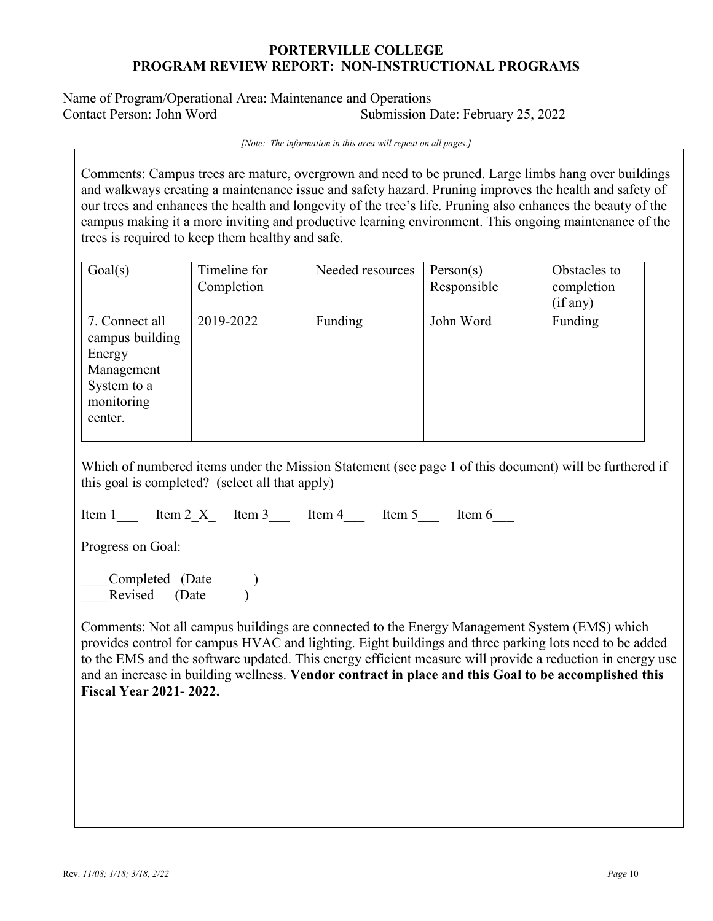Name of Program/Operational Area: Maintenance and Operations Contact Person: John Word Submission Date: February 25, 2022

*[Note: The information in this area will repeat on all pages.]*

Comments: Campus trees are mature, overgrown and need to be pruned. Large limbs hang over buildings and walkways creating a maintenance issue and safety hazard. Pruning improves the health and safety of our trees and enhances the health and longevity of the tree's life. Pruning also enhances the beauty of the campus making it a more inviting and productive learning environment. This ongoing maintenance of the trees is required to keep them healthy and safe.

| Goal(s)                                                                                           | Timeline for<br>Completion | Needed resources | Person(s)<br>Responsible | Obstacles to<br>completion<br>(if any) |
|---------------------------------------------------------------------------------------------------|----------------------------|------------------|--------------------------|----------------------------------------|
| 7. Connect all<br>campus building<br>Energy<br>Management<br>System to a<br>monitoring<br>center. | 2019-2022                  | Funding          | John Word                | Funding                                |

Which of numbered items under the Mission Statement (see page 1 of this document) will be furthered if this goal is completed? (select all that apply)

Item 1 Lem 2 X Item 3 Lem 4 Item 5 Item 6

Progress on Goal:

Completed (Date ) Revised (Date )

Comments: Not all campus buildings are connected to the Energy Management System (EMS) which provides control for campus HVAC and lighting. Eight buildings and three parking lots need to be added to the EMS and the software updated. This energy efficient measure will provide a reduction in energy use and an increase in building wellness. **Vendor contract in place and this Goal to be accomplished this Fiscal Year 2021- 2022.**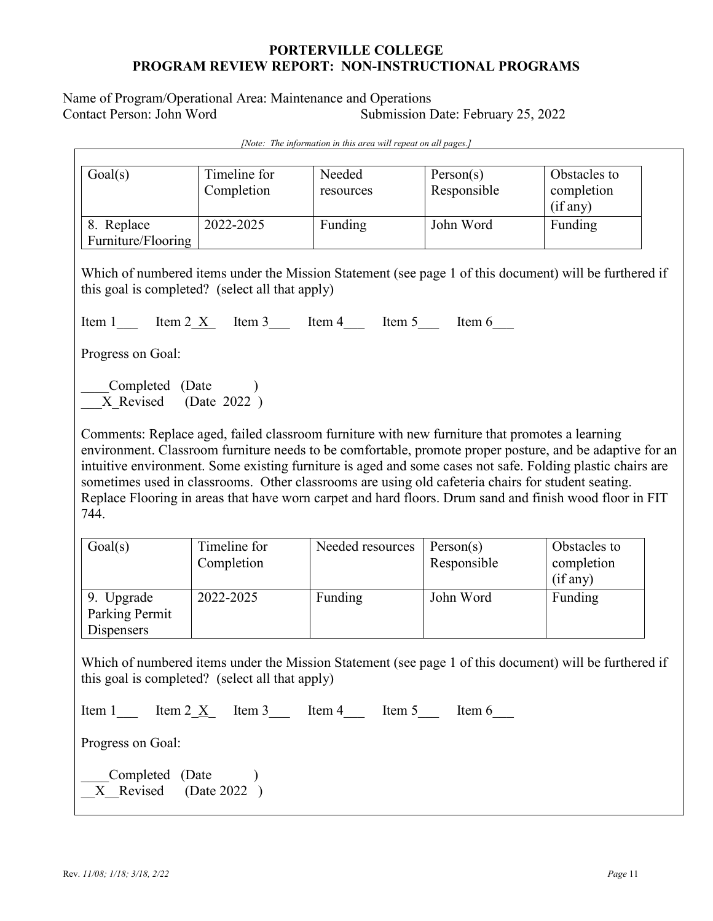Name of Program/Operational Area: Maintenance and Operations<br>Contact Person: John Word Submission I Submission Date: February 25, 2022

| Goal(s)                                                                                                                                                                                                                                                                                                                                                                                                                                                                                                                                           | Timeline for<br>Completion | Needed<br>resources                                       | Person(s)<br>Responsible | Obstacles to<br>completion<br>(if any)                                                                 |  |  |
|---------------------------------------------------------------------------------------------------------------------------------------------------------------------------------------------------------------------------------------------------------------------------------------------------------------------------------------------------------------------------------------------------------------------------------------------------------------------------------------------------------------------------------------------------|----------------------------|-----------------------------------------------------------|--------------------------|--------------------------------------------------------------------------------------------------------|--|--|
| 8. Replace<br>Furniture/Flooring                                                                                                                                                                                                                                                                                                                                                                                                                                                                                                                  | 2022-2025                  | Funding                                                   | John Word                | Funding                                                                                                |  |  |
| this goal is completed? (select all that apply)                                                                                                                                                                                                                                                                                                                                                                                                                                                                                                   |                            |                                                           |                          | Which of numbered items under the Mission Statement (see page 1 of this document) will be furthered if |  |  |
|                                                                                                                                                                                                                                                                                                                                                                                                                                                                                                                                                   |                            | Item 1 Item 2 $\underline{X}$ Item 3 Item 4 Item 5 Item 6 |                          |                                                                                                        |  |  |
| Progress on Goal:                                                                                                                                                                                                                                                                                                                                                                                                                                                                                                                                 |                            |                                                           |                          |                                                                                                        |  |  |
| Completed (Date )<br>$\overline{X}$ Revised (Date 2022)                                                                                                                                                                                                                                                                                                                                                                                                                                                                                           |                            |                                                           |                          |                                                                                                        |  |  |
| Comments: Replace aged, failed classroom furniture with new furniture that promotes a learning<br>environment. Classroom furniture needs to be comfortable, promote proper posture, and be adaptive for an<br>intuitive environment. Some existing furniture is aged and some cases not safe. Folding plastic chairs are<br>sometimes used in classrooms. Other classrooms are using old cafeteria chairs for student seating.<br>Replace Flooring in areas that have worn carpet and hard floors. Drum sand and finish wood floor in FIT<br>744. |                            |                                                           |                          |                                                                                                        |  |  |
| Goal(s)                                                                                                                                                                                                                                                                                                                                                                                                                                                                                                                                           | Timeline for<br>Completion | Needed resources                                          | Person(s)<br>Responsible | Obstacles to<br>completion<br>(if any)                                                                 |  |  |
| 9. Upgrade<br>Parking Permit<br>Dispensers                                                                                                                                                                                                                                                                                                                                                                                                                                                                                                        | 2022-2025                  | Funding                                                   | John Word                | Funding                                                                                                |  |  |
| Which of numbered items under the Mission Statement (see page 1 of this document) will be furthered if<br>this goal is completed? (select all that apply)                                                                                                                                                                                                                                                                                                                                                                                         |                            |                                                           |                          |                                                                                                        |  |  |
|                                                                                                                                                                                                                                                                                                                                                                                                                                                                                                                                                   |                            | Item 1 Item 2 $\underline{X}$ Item 3 Item 4 Item 5 Item 6 |                          |                                                                                                        |  |  |
| Progress on Goal:                                                                                                                                                                                                                                                                                                                                                                                                                                                                                                                                 |                            |                                                           |                          |                                                                                                        |  |  |
| Completed (Date )<br>X Revised (Date 2022)                                                                                                                                                                                                                                                                                                                                                                                                                                                                                                        |                            |                                                           |                          |                                                                                                        |  |  |

*[Note: The information in this area will repeat on all pages.]*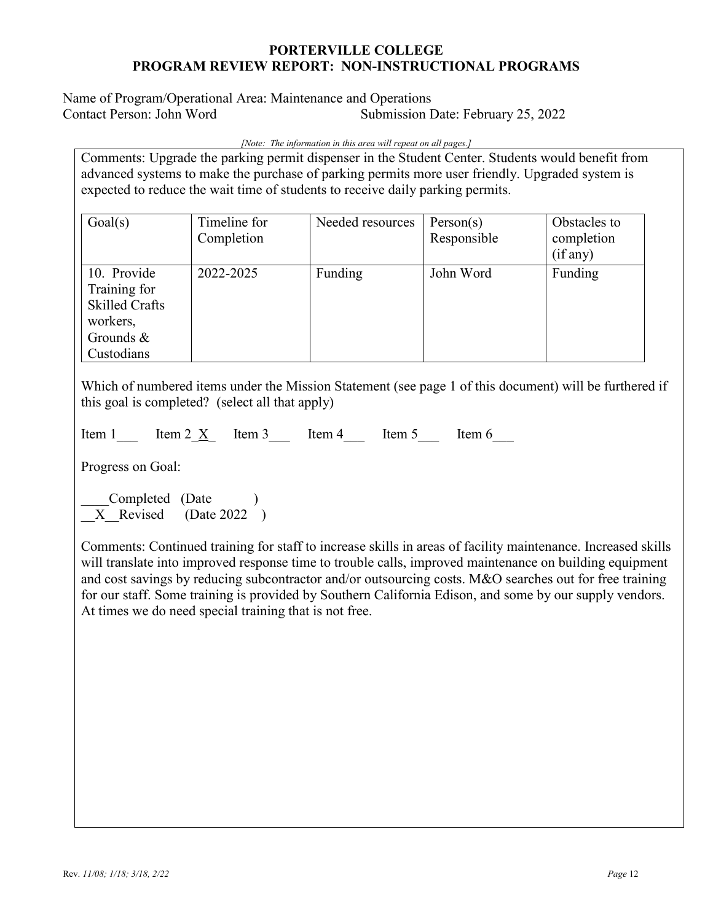Name of Program/Operational Area: Maintenance and Operations Submission Date: February 25, 2022

*[Note: The information in this area will repeat on all pages.]*

Comments: Upgrade the parking permit dispenser in the Student Center. Students would benefit from advanced systems to make the purchase of parking permits more user friendly. Upgraded system is expected to reduce the wait time of students to receive daily parking permits.

| Goal(s)                                                                                        | Timeline for<br>Completion | Needed resources | Person(s)<br>Responsible | Obstacles to<br>completion |
|------------------------------------------------------------------------------------------------|----------------------------|------------------|--------------------------|----------------------------|
|                                                                                                |                            |                  |                          | (if any)                   |
| 10. Provide<br>Training for<br><b>Skilled Crafts</b><br>workers,<br>Grounds $\&$<br>Custodians | 2022-2025                  | Funding          | John Word                | Funding                    |

Which of numbered items under the Mission Statement (see page 1 of this document) will be furthered if this goal is completed? (select all that apply)

|  | Item | ltem<br>л | $\sim$<br>нетп | $\sim$ | Item | วm h |
|--|------|-----------|----------------|--------|------|------|
|--|------|-----------|----------------|--------|------|------|

Progress on Goal:

Completed (Date ) X Revised (Date 2022 )

Comments: Continued training for staff to increase skills in areas of facility maintenance. Increased skills will translate into improved response time to trouble calls, improved maintenance on building equipment and cost savings by reducing subcontractor and/or outsourcing costs. M&O searches out for free training for our staff. Some training is provided by Southern California Edison, and some by our supply vendors. At times we do need special training that is not free.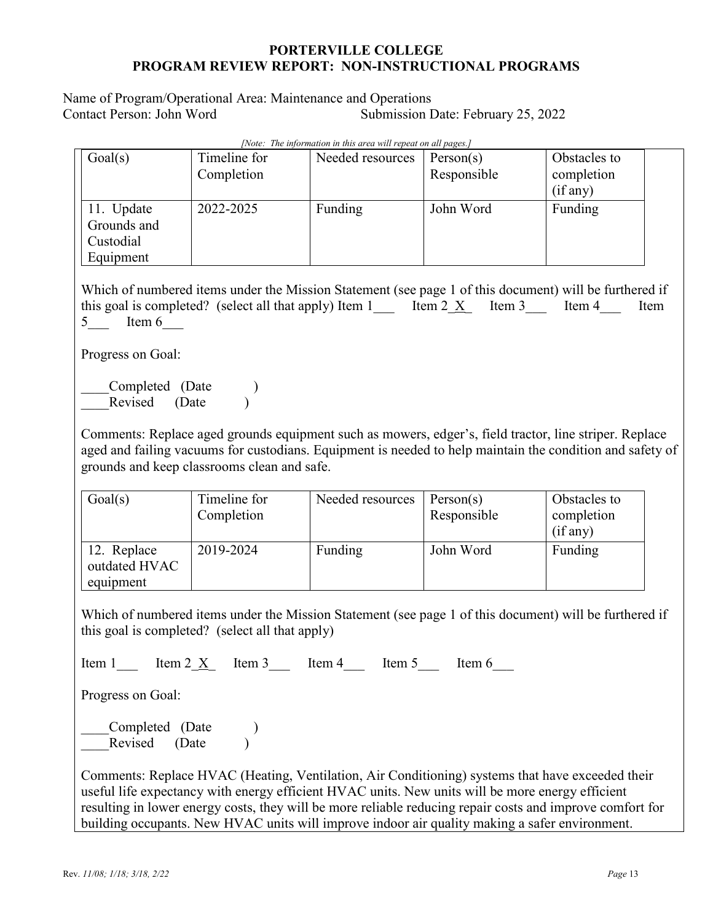Name of Program/Operational Area: Maintenance and Operations Contact Person: John Word Submission Date: February 25, 2022

| wore. The information in this area will repeat on all pages. |                            |                  |                          |                                        |  |
|--------------------------------------------------------------|----------------------------|------------------|--------------------------|----------------------------------------|--|
| Goal(s)                                                      | Timeline for<br>Completion | Needed resources | Person(s)<br>Responsible | Obstacles to<br>completion<br>(if any) |  |
| 11. Update<br>Grounds and<br>Custodial<br>Equipment          | 2022-2025                  | Funding          | John Word                | Funding                                |  |

*[Note: The information in this area will repeat on all pages.]*

Which of numbered items under the Mission Statement (see page 1 of this document) will be furthered if this goal is completed? (select all that apply) Item 1 Item 2  $\underline{X}$  Item 3 Item 4 Item 5 Item 6

Progress on Goal:

Completed (Date ) Revised (Date )

Comments: Replace aged grounds equipment such as mowers, edger's, field tractor, line striper. Replace aged and failing vacuums for custodians. Equipment is needed to help maintain the condition and safety of grounds and keep classrooms clean and safe.

| Goal(s)                                   | Timeline for<br>Completion | Needed resources | Person(s)<br>Responsible | Obstacles to<br>completion<br>(if any) |
|-------------------------------------------|----------------------------|------------------|--------------------------|----------------------------------------|
| 12. Replace<br>outdated HVAC<br>equipment | 2019-2024                  | Funding          | John Word                | Funding                                |

Which of numbered items under the Mission Statement (see page 1 of this document) will be furthered if this goal is completed? (select all that apply)

Item 1  $\text{Item 2 X}$  Item 3  $\text{Item 4}$  Item 5 Item 6

Progress on Goal:

Completed (Date ) Revised (Date )

Comments: Replace HVAC (Heating, Ventilation, Air Conditioning) systems that have exceeded their useful life expectancy with energy efficient HVAC units. New units will be more energy efficient resulting in lower energy costs, they will be more reliable reducing repair costs and improve comfort for building occupants. New HVAC units will improve indoor air quality making a safer environment.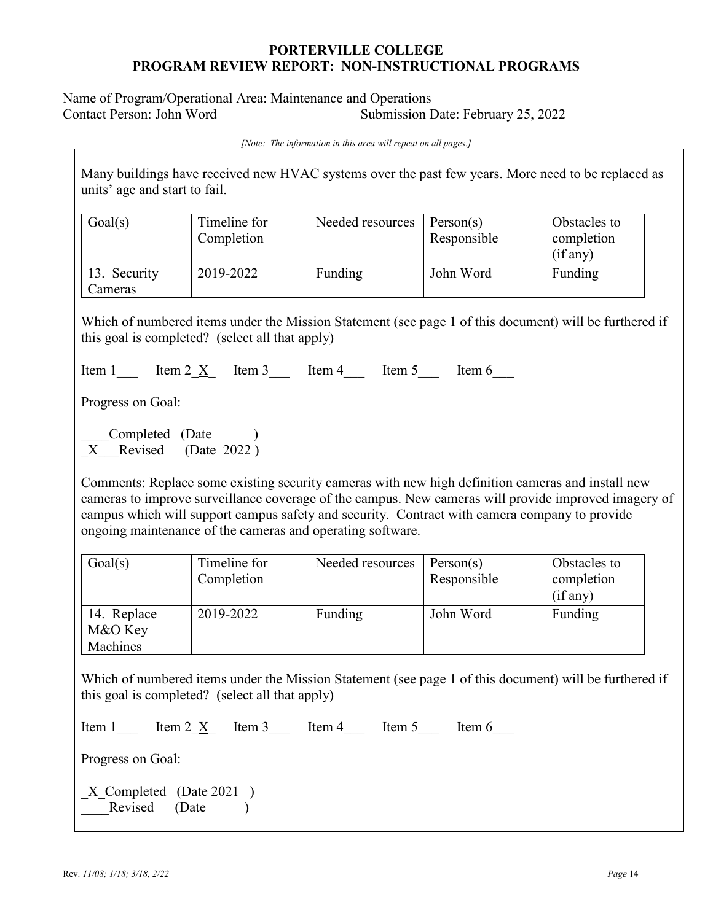Name of Program/Operational Area: Maintenance and Operations Contact Person: John Word Submission Date: February 25, 2022

*[Note: The information in this area will repeat on all pages.]*

Many buildings have received new HVAC systems over the past few years. More need to be replaced as units' age and start to fail.

| Goal(s)                 | Timeline for<br>Completion | Needed resources | Person(s)<br>Responsible | Obstacles to<br>completion<br>(if any) |
|-------------------------|----------------------------|------------------|--------------------------|----------------------------------------|
| 13. Security<br>Cameras | 2019-2022                  | Funding          | John Word                | Funding                                |

Which of numbered items under the Mission Statement (see page 1 of this document) will be furthered if this goal is completed? (select all that apply)

Item 1  $\text{Item 2} \times \text{Item 3}$  Item 4 Item 5 Item 6

Progress on Goal:

Completed (Date ) X Revised (Date 2022)

Comments: Replace some existing security cameras with new high definition cameras and install new cameras to improve surveillance coverage of the campus. New cameras will provide improved imagery of campus which will support campus safety and security. Contract with camera company to provide ongoing maintenance of the cameras and operating software.

| Goal(s)                            | Timeline for<br>Completion | Needed resources | Person(s)<br>Responsible | Obstacles to<br>completion<br>(if any) |
|------------------------------------|----------------------------|------------------|--------------------------|----------------------------------------|
| 14. Replace<br>M&O Key<br>Machines | 2019-2022                  | Funding          | John Word                | Funding                                |

Which of numbered items under the Mission Statement (see page 1 of this document) will be furthered if this goal is completed? (select all that apply)

| Item 1            | Item $2 \text{ X}$ Item $3 \text{ Item } 4$ |  | ltem 5 | ltem 6 |
|-------------------|---------------------------------------------|--|--------|--------|
| Progress on Goal: |                                             |  |        |        |
|                   | X Completed (Date 2021)<br>Revised (Date    |  |        |        |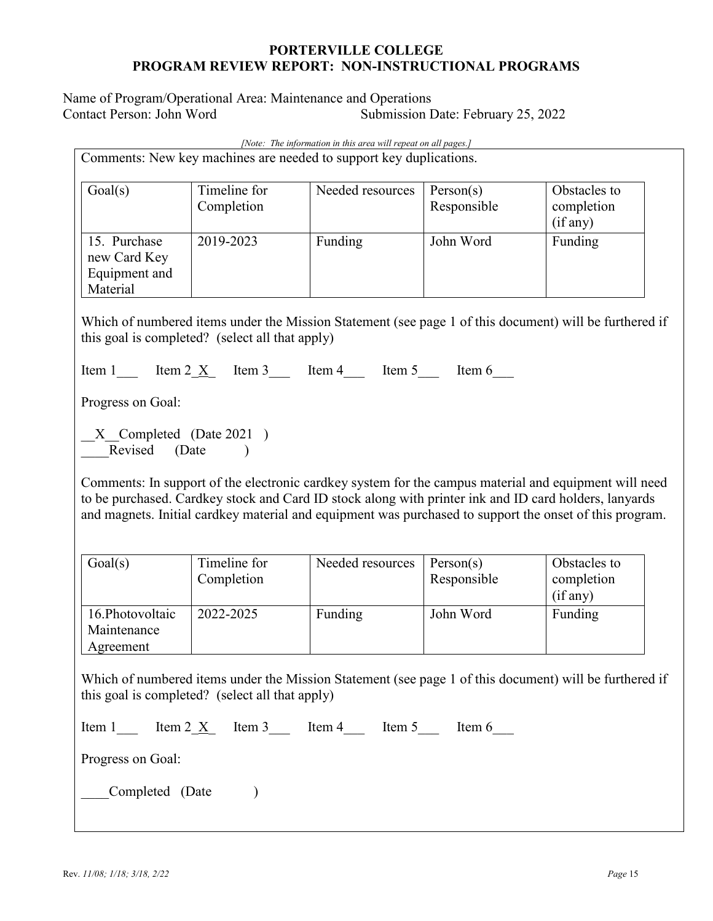Name of Program/Operational Area: Maintenance and Operations Contact Person: John Word Submission Date: February 25, 2022

| [Note: The information in this area will repeat on all pages.]                                                                                            |                                                                    |                  |                                                                                                       |                                                                                                                                                                                                                  |  |  |
|-----------------------------------------------------------------------------------------------------------------------------------------------------------|--------------------------------------------------------------------|------------------|-------------------------------------------------------------------------------------------------------|------------------------------------------------------------------------------------------------------------------------------------------------------------------------------------------------------------------|--|--|
|                                                                                                                                                           | Comments: New key machines are needed to support key duplications. |                  |                                                                                                       |                                                                                                                                                                                                                  |  |  |
| Goal(s)                                                                                                                                                   | Timeline for<br>Completion                                         | Needed resources | Person(s)<br>Responsible                                                                              | Obstacles to<br>completion<br>(if any)                                                                                                                                                                           |  |  |
| 15. Purchase<br>new Card Key<br>Equipment and<br>Material                                                                                                 | 2019-2023                                                          | Funding          | John Word                                                                                             | Funding                                                                                                                                                                                                          |  |  |
|                                                                                                                                                           | this goal is completed? (select all that apply)                    |                  |                                                                                                       | Which of numbered items under the Mission Statement (see page 1 of this document) will be furthered if                                                                                                           |  |  |
|                                                                                                                                                           | Item 1 Item 2 $\underline{X}$ Item 3 Item 4 Item 5 Item 6          |                  |                                                                                                       |                                                                                                                                                                                                                  |  |  |
| Progress on Goal:                                                                                                                                         |                                                                    |                  |                                                                                                       |                                                                                                                                                                                                                  |  |  |
| X Completed (Date 2021)<br>Revised (Date )                                                                                                                |                                                                    |                  |                                                                                                       |                                                                                                                                                                                                                  |  |  |
|                                                                                                                                                           |                                                                    |                  | to be purchased. Cardkey stock and Card ID stock along with printer ink and ID card holders, lanyards | Comments: In support of the electronic cardkey system for the campus material and equipment will need<br>and magnets. Initial cardkey material and equipment was purchased to support the onset of this program. |  |  |
| Goal(s)                                                                                                                                                   | Timeline for<br>Completion                                         | Needed resources | Person(s)<br>Responsible                                                                              | Obstacles to<br>completion<br>(if any)                                                                                                                                                                           |  |  |
| 16.Photovoltaic<br>Maintenance<br>Agreement                                                                                                               | 2022-2025                                                          | Funding          | John Word                                                                                             | Funding                                                                                                                                                                                                          |  |  |
| Which of numbered items under the Mission Statement (see page 1 of this document) will be furthered if<br>this goal is completed? (select all that apply) |                                                                    |                  |                                                                                                       |                                                                                                                                                                                                                  |  |  |
| Item 1 Item 2 $\underline{X}$ Item 3 Item 4 Item 5 Item 6                                                                                                 |                                                                    |                  |                                                                                                       |                                                                                                                                                                                                                  |  |  |
| Progress on Goal:                                                                                                                                         |                                                                    |                  |                                                                                                       |                                                                                                                                                                                                                  |  |  |
| Completed (Date                                                                                                                                           |                                                                    |                  |                                                                                                       |                                                                                                                                                                                                                  |  |  |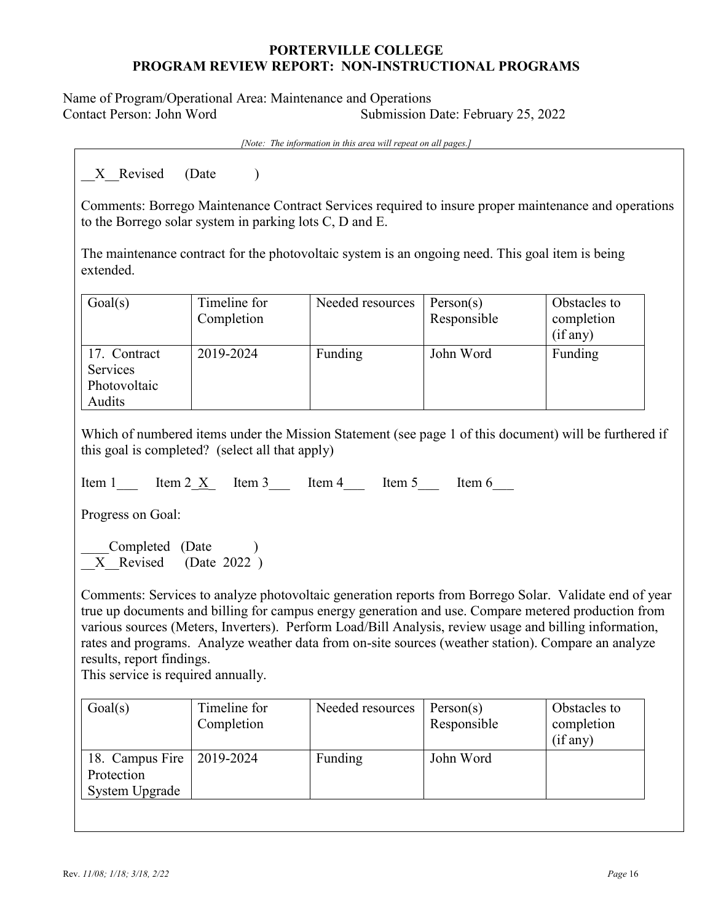Name of Program/Operational Area: Maintenance and Operations Contact Person: John Word Submission Date: February 25, 2022

*[Note: The information in this area will repeat on all pages.]*

X Revised (Date )

Comments: Borrego Maintenance Contract Services required to insure proper maintenance and operations to the Borrego solar system in parking lots C, D and E.

The maintenance contract for the photovoltaic system is an ongoing need. This goal item is being extended.

| Goal(s)                                            | Timeline for<br>Completion | Needed resources | Person(s)<br>Responsible | Obstacles to<br>completion<br>(if any) |
|----------------------------------------------------|----------------------------|------------------|--------------------------|----------------------------------------|
| 17. Contract<br>Services<br>Photovoltaic<br>Audits | 2019-2024                  | Funding          | John Word                | Funding                                |

Which of numbered items under the Mission Statement (see page 1 of this document) will be furthered if this goal is completed? (select all that apply)

Item 1  $\text{Item 2} \times \text{Item 3}$  Item 4 Item 5 Item 6

Progress on Goal:

Completed (Date ) X Revised (Date 2022 )

Comments: Services to analyze photovoltaic generation reports from Borrego Solar. Validate end of year true up documents and billing for campus energy generation and use. Compare metered production from various sources (Meters, Inverters). Perform Load/Bill Analysis, review usage and billing information, rates and programs. Analyze weather data from on-site sources (weather station). Compare an analyze results, report findings.

This service is required annually.

| Goal(s)                                         | Timeline for<br>Completion | Needed resources | Person(s)<br>Responsible | Obstacles to<br>completion<br>(if any) |
|-------------------------------------------------|----------------------------|------------------|--------------------------|----------------------------------------|
| 18. Campus Fire<br>Protection<br>System Upgrade | $ 2019 - 2024$             | Funding          | John Word                |                                        |
|                                                 |                            |                  |                          |                                        |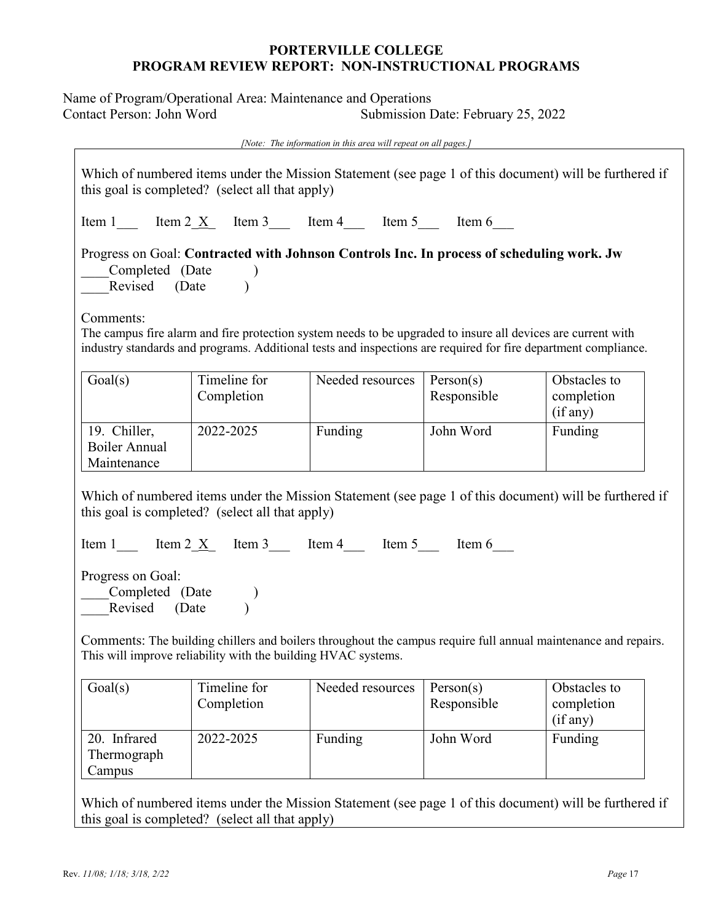Name of Program/Operational Area: Maintenance and Operations Contact Person: John Word Submission Date: February 25, 2022

*[Note: The information in this area will repeat on all pages.]*

Which of numbered items under the Mission Statement (see page 1 of this document) will be furthered if this goal is completed? (select all that apply)

Item 1  $\text{Item 2} \times \text{Item 3}$  Item 4  $\text{Item 5}$  Item 6

Progress on Goal: **Contracted with Johnson Controls Inc. In process of scheduling work. Jw** Completed (Date ) Revised (Date )

Comments:

The campus fire alarm and fire protection system needs to be upgraded to insure all devices are current with industry standards and programs. Additional tests and inspections are required for fire department compliance.

| Goal(s)                                      | Timeline for<br>Completion | Needed resources | Person(s)<br>Responsible | Obstacles to<br>completion<br>(if any) |
|----------------------------------------------|----------------------------|------------------|--------------------------|----------------------------------------|
| 19. Chiller,<br>Boiler Annual<br>Maintenance | 2022-2025                  | Funding          | John Word                | Funding                                |

Which of numbered items under the Mission Statement (see page 1 of this document) will be furthered if this goal is completed? (select all that apply)

Item 1 Item  $2\underline{X}$  Item 3 Item 4 Item 5 Item 6

Progress on Goal:

Completed (Date ) Revised (Date )

Comments: The building chillers and boilers throughout the campus require full annual maintenance and repairs. This will improve reliability with the building HVAC systems.

| Goal(s)                               | Timeline for<br>Completion | Needed resources | Person(s)<br>Responsible | Obstacles to<br>completion<br>(if any) |
|---------------------------------------|----------------------------|------------------|--------------------------|----------------------------------------|
| 20. Infrared<br>Thermograph<br>Campus | 2022-2025                  | Funding          | John Word                | Funding                                |

Which of numbered items under the Mission Statement (see page 1 of this document) will be furthered if this goal is completed? (select all that apply)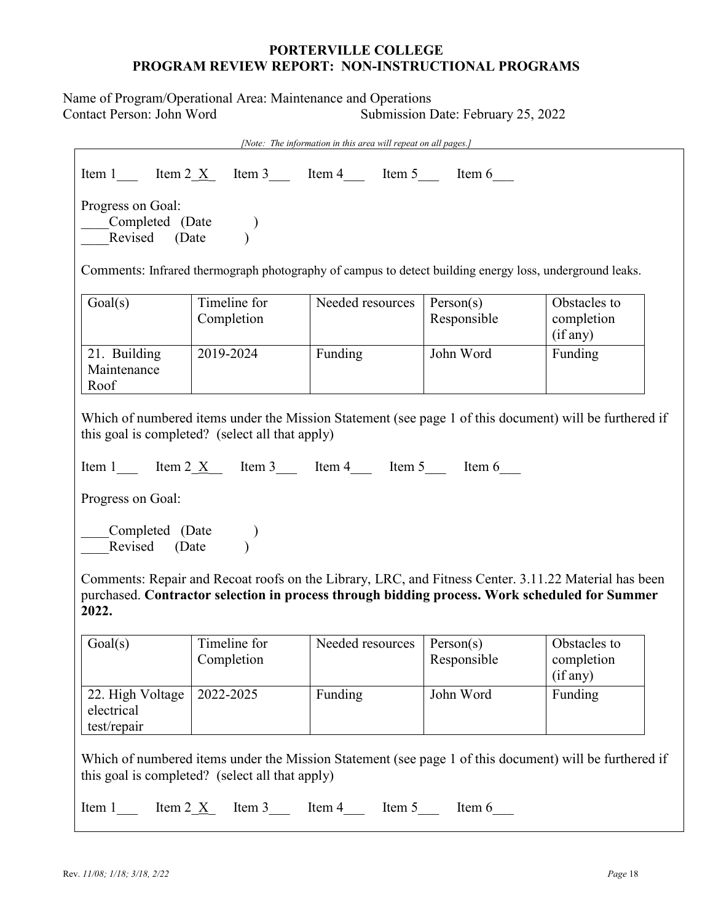Name of Program/Operational Area: Maintenance and Operations Contact Person: John Word Submission Date: February 25, 2022

| [Note: The information in this area will repeat on all pages.]                                                                                            |                                                           |                  |                                                                                                         |                                                                                                        |  |
|-----------------------------------------------------------------------------------------------------------------------------------------------------------|-----------------------------------------------------------|------------------|---------------------------------------------------------------------------------------------------------|--------------------------------------------------------------------------------------------------------|--|
|                                                                                                                                                           | Item 1 Item 2 $\underline{X}$ Item 3 Item 4 Item 5 Item 6 |                  |                                                                                                         |                                                                                                        |  |
| Progress on Goal:<br>Completed (Date )<br>Revised (Date )<br>Revised (Date                                                                                |                                                           |                  |                                                                                                         |                                                                                                        |  |
|                                                                                                                                                           |                                                           |                  | Comments: Infrared thermograph photography of campus to detect building energy loss, underground leaks. |                                                                                                        |  |
| Goal(s)                                                                                                                                                   | Timeline for<br>Completion                                | Needed resources | Person(s)<br>Responsible                                                                                | Obstacles to<br>completion<br>(if any)                                                                 |  |
| 21. Building<br>Maintenance<br>Roof                                                                                                                       | 2019-2024                                                 | Funding          | John Word                                                                                               | Funding                                                                                                |  |
|                                                                                                                                                           | this goal is completed? (select all that apply)           |                  |                                                                                                         | Which of numbered items under the Mission Statement (see page 1 of this document) will be furthered if |  |
|                                                                                                                                                           | Item 1 Item 2 $X$ Item 3 Item 4 Item 5 Item 6             |                  |                                                                                                         |                                                                                                        |  |
| Progress on Goal:                                                                                                                                         |                                                           |                  |                                                                                                         |                                                                                                        |  |
| Completed (Date )<br>Revised (Date                                                                                                                        |                                                           |                  |                                                                                                         |                                                                                                        |  |
| 2022.                                                                                                                                                     |                                                           |                  | purchased. Contractor selection in process through bidding process. Work scheduled for Summer           | Comments: Repair and Recoat roofs on the Library, LRC, and Fitness Center. 3.11.22 Material has been   |  |
| Goal(s)                                                                                                                                                   | Timeline for<br>Completion                                | Needed resources | Person(s)<br>Responsible                                                                                | Obstacles to<br>completion<br>(if any)                                                                 |  |
| 22. High Voltage<br>electrical<br>test/repair                                                                                                             | 2022-2025                                                 | Funding          | John Word                                                                                               | Funding                                                                                                |  |
| Which of numbered items under the Mission Statement (see page 1 of this document) will be furthered if<br>this goal is completed? (select all that apply) |                                                           |                  |                                                                                                         |                                                                                                        |  |
| Item 1 Item 2 $\underline{X}$ Item 3 Item 4 Item 5 Item 6                                                                                                 |                                                           |                  |                                                                                                         |                                                                                                        |  |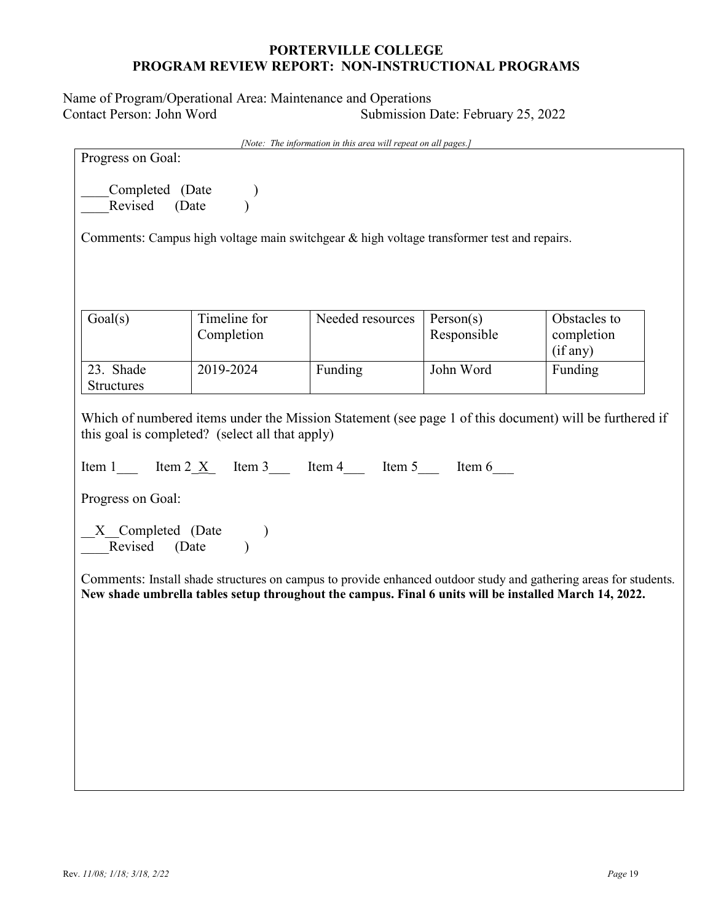Name of Program/Operational Area: Maintenance and Operations Contact Person: John Word Submission Date: February 25, 2022

|                                                                                                                                                                                                                                                                                      |                                                                                               | [Note: The information in this area will repeat on all pages.] |                          |                                        |  |
|--------------------------------------------------------------------------------------------------------------------------------------------------------------------------------------------------------------------------------------------------------------------------------------|-----------------------------------------------------------------------------------------------|----------------------------------------------------------------|--------------------------|----------------------------------------|--|
| Progress on Goal:                                                                                                                                                                                                                                                                    |                                                                                               |                                                                |                          |                                        |  |
| Completed (Date<br>Revised (Date                                                                                                                                                                                                                                                     |                                                                                               |                                                                |                          |                                        |  |
|                                                                                                                                                                                                                                                                                      | Comments: Campus high voltage main switchgear $\&$ high voltage transformer test and repairs. |                                                                |                          |                                        |  |
|                                                                                                                                                                                                                                                                                      |                                                                                               |                                                                |                          |                                        |  |
|                                                                                                                                                                                                                                                                                      |                                                                                               |                                                                |                          |                                        |  |
|                                                                                                                                                                                                                                                                                      |                                                                                               |                                                                |                          |                                        |  |
| Goal(s)                                                                                                                                                                                                                                                                              | Timeline for<br>Completion                                                                    | Needed resources                                               | Person(s)<br>Responsible | Obstacles to<br>completion<br>(if any) |  |
| 23. Shade                                                                                                                                                                                                                                                                            | 2019-2024                                                                                     | Funding                                                        | John Word                | Funding                                |  |
| Structures                                                                                                                                                                                                                                                                           |                                                                                               |                                                                |                          |                                        |  |
| Which of numbered items under the Mission Statement (see page 1 of this document) will be furthered if<br>this goal is completed? (select all that apply)<br>Item 1 Item 2 $\underline{X}$ Item 3 Item 4 Item 5 Item 6<br>Progress on Goal:<br>X_Completed (Date<br>_Revised (Date ) |                                                                                               |                                                                |                          |                                        |  |
| Comments: Install shade structures on campus to provide enhanced outdoor study and gathering areas for students.<br>New shade umbrella tables setup throughout the campus. Final 6 units will be installed March 14, 2022.                                                           |                                                                                               |                                                                |                          |                                        |  |
|                                                                                                                                                                                                                                                                                      |                                                                                               |                                                                |                          |                                        |  |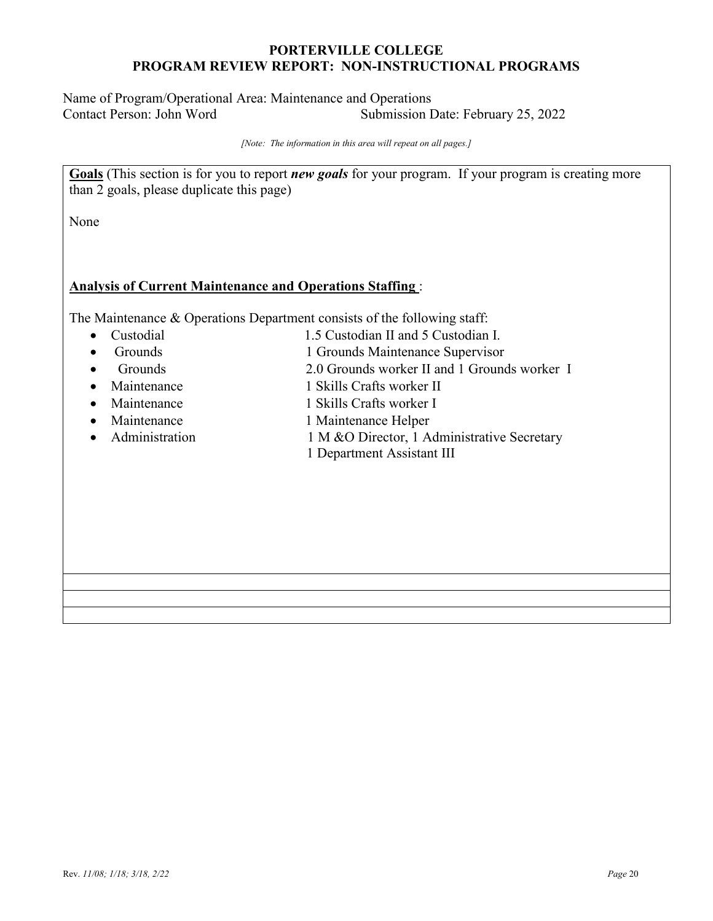Name of Program/Operational Area: Maintenance and Operations Contact Person: John Word Submission Date: February 25, 2022

*[Note: The information in this area will repeat on all pages.]*

**Goals** (This section is for you to report *new goals* for your program. If your program is creating more than 2 goals, please duplicate this page)

None

#### **Analysis of Current Maintenance and Operations Staffing** :

The Maintenance & Operations Department consists of the following staff:

- 
- Custodial 1.5 Custodian II and 5 Custodian I.
- Grounds 1 Grounds Maintenance Supervisor
- Grounds 2.0 Grounds worker II and 1 Grounds worker I
- Maintenance 1 Skills Crafts worker II
- Maintenance 1 Skills Crafts worker I
- Maintenance 1 Maintenance Helper
- 
- 
- 
- Administration 1 M &O Director, 1 Administrative Secretary
	- 1 Department Assistant III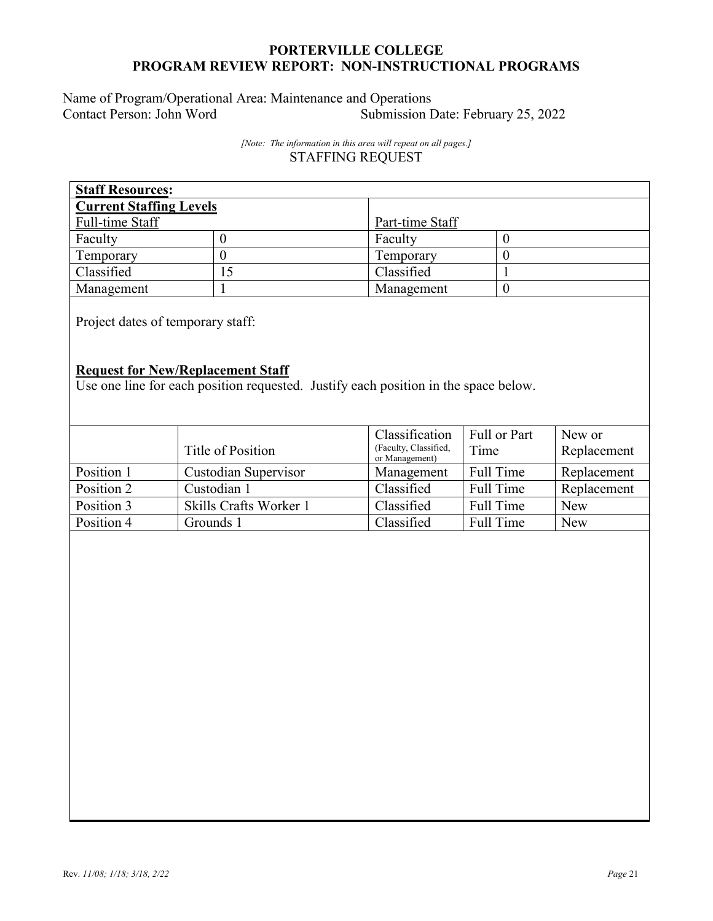Name of Program/Operational Area: Maintenance and Operations<br>Contact Person: John Word Submission I Submission Date: February 25, 2022

> *[Note: The information in this area will repeat on all pages.]* STAFFING REQUEST

| <b>Staff Resources:</b>        |    |                 |  |  |
|--------------------------------|----|-----------------|--|--|
| <b>Current Staffing Levels</b> |    |                 |  |  |
| Full-time Staff                |    | Part-time Staff |  |  |
| Faculty                        |    | Faculty         |  |  |
| Temporary                      |    | Temporary       |  |  |
| Classified                     | 15 | Classified      |  |  |
| Management                     |    | Management      |  |  |

Project dates of temporary staff:

## **Request for New/Replacement Staff**

Use one line for each position requested. Justify each position in the space below.

|            | Title of Position      | Classification<br>(Faculty, Classified,<br>or Management) | Full or Part<br>Time | New or<br>Replacement |
|------------|------------------------|-----------------------------------------------------------|----------------------|-----------------------|
| Position 1 | Custodian Supervisor   | Management                                                | Full Time            | Replacement           |
| Position 2 | Custodian 1            | Classified                                                | Full Time            | Replacement           |
| Position 3 | Skills Crafts Worker 1 | Classified                                                | Full Time            | <b>New</b>            |
| Position 4 | Grounds 1              | Classified                                                | Full Time            | <b>New</b>            |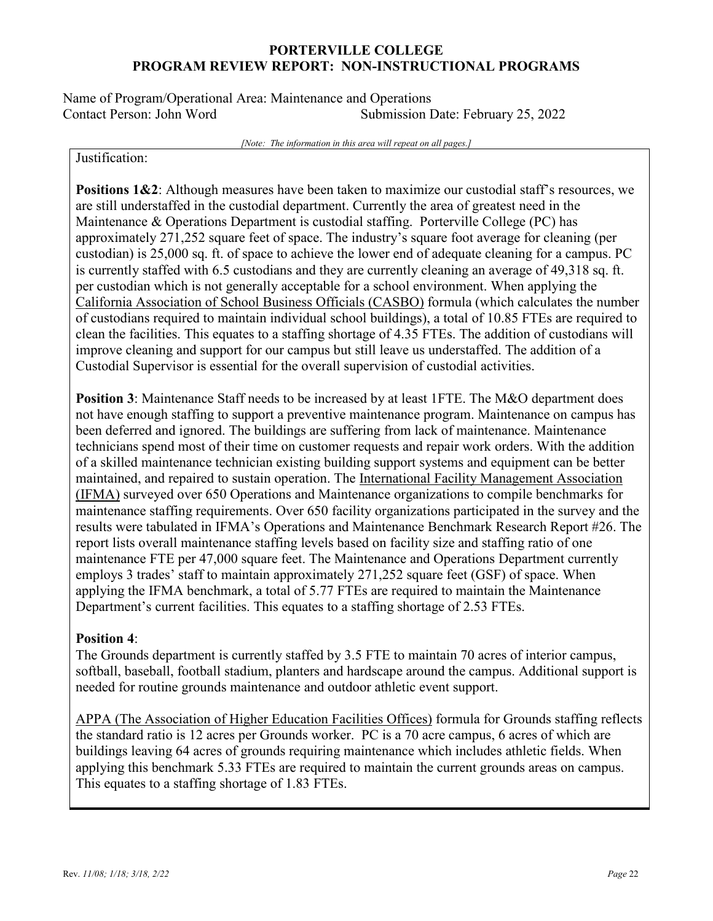Name of Program/Operational Area: Maintenance and Operations Contact Person: John Word Submission Date: February 25, 2022

*[Note: The information in this area will repeat on all pages.]*

Justification:

**Positions 1&2**: Although measures have been taken to maximize our custodial staff's resources, we are still understaffed in the custodial department. Currently the area of greatest need in the Maintenance & Operations Department is custodial staffing. Porterville College (PC) has approximately 271,252 square feet of space. The industry's square foot average for cleaning (per custodian) is 25,000 sq. ft. of space to achieve the lower end of adequate cleaning for a campus. PC is currently staffed with 6.5 custodians and they are currently cleaning an average of 49,318 sq. ft. per custodian which is not generally acceptable for a school environment. When applying the California Association of School Business Officials (CASBO) formula (which calculates the number of custodians required to maintain individual school buildings), a total of 10.85 FTEs are required to clean the facilities. This equates to a staffing shortage of 4.35 FTEs. The addition of custodians will improve cleaning and support for our campus but still leave us understaffed. The addition of a Custodial Supervisor is essential for the overall supervision of custodial activities.

**Position 3**: Maintenance Staff needs to be increased by at least 1FTE. The M&O department does not have enough staffing to support a preventive maintenance program. Maintenance on campus has been deferred and ignored. The buildings are suffering from lack of maintenance. Maintenance technicians spend most of their time on customer requests and repair work orders. With the addition of a skilled maintenance technician existing building support systems and equipment can be better maintained, and repaired to sustain operation. The International Facility Management Association (IFMA) surveyed over 650 Operations and Maintenance organizations to compile benchmarks for maintenance staffing requirements. Over 650 facility organizations participated in the survey and the results were tabulated in IFMA's Operations and Maintenance Benchmark Research Report #26. The report lists overall maintenance staffing levels based on facility size and staffing ratio of one maintenance FTE per 47,000 square feet. The Maintenance and Operations Department currently employs 3 trades' staff to maintain approximately 271,252 square feet (GSF) of space. When applying the IFMA benchmark, a total of 5.77 FTEs are required to maintain the Maintenance Department's current facilities. This equates to a staffing shortage of 2.53 FTEs.

### **Position 4**:

The Grounds department is currently staffed by 3.5 FTE to maintain 70 acres of interior campus, softball, baseball, football stadium, planters and hardscape around the campus. Additional support is needed for routine grounds maintenance and outdoor athletic event support.

APPA (The Association of Higher Education Facilities Offices) formula for Grounds staffing reflects the standard ratio is 12 acres per Grounds worker. PC is a 70 acre campus, 6 acres of which are buildings leaving 64 acres of grounds requiring maintenance which includes athletic fields. When applying this benchmark 5.33 FTEs are required to maintain the current grounds areas on campus. This equates to a staffing shortage of 1.83 FTEs.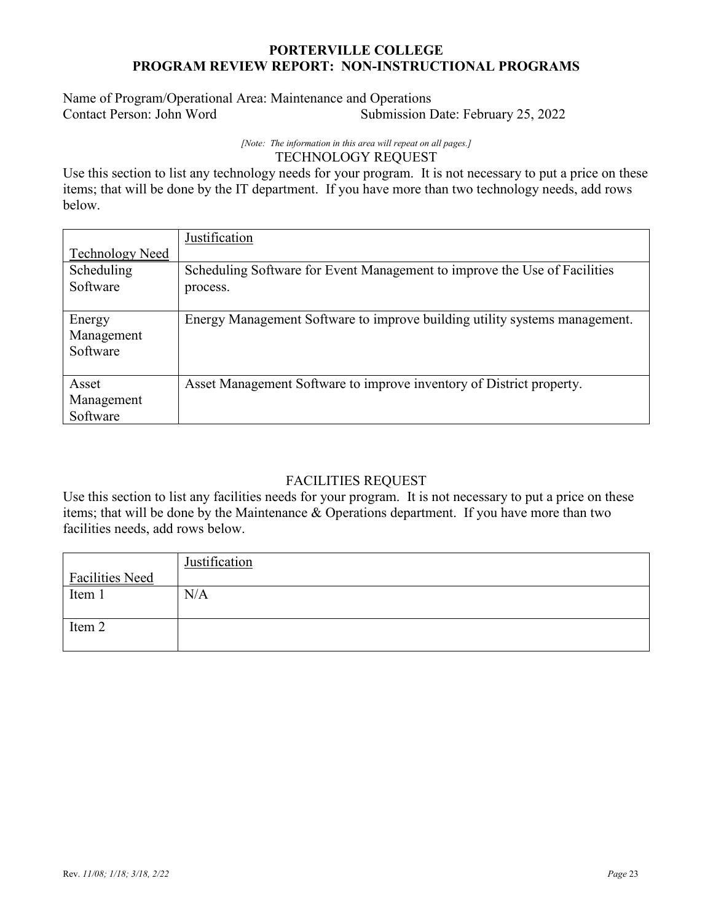## Name of Program/Operational Area: Maintenance and Operations Submission Date: February 25, 2022

#### *[Note: The information in this area will repeat on all pages.]* TECHNOLOGY REQUEST

Use this section to list any technology needs for your program. It is not necessary to put a price on these items; that will be done by the IT department. If you have more than two technology needs, add rows below.

|                        | Justification                                                              |
|------------------------|----------------------------------------------------------------------------|
| <b>Technology Need</b> |                                                                            |
| Scheduling             | Scheduling Software for Event Management to improve the Use of Facilities  |
| Software               | process.                                                                   |
|                        |                                                                            |
| Energy                 | Energy Management Software to improve building utility systems management. |
| Management             |                                                                            |
| Software               |                                                                            |
|                        |                                                                            |
| Asset                  | Asset Management Software to improve inventory of District property.       |
| Management             |                                                                            |
| Software               |                                                                            |

# FACILITIES REQUEST

Use this section to list any facilities needs for your program. It is not necessary to put a price on these items; that will be done by the Maintenance & Operations department. If you have more than two facilities needs, add rows below.

|                        | Justification |
|------------------------|---------------|
| <b>Facilities Need</b> |               |
| Item 1                 | N/A           |
|                        |               |
| Item 2                 |               |
|                        |               |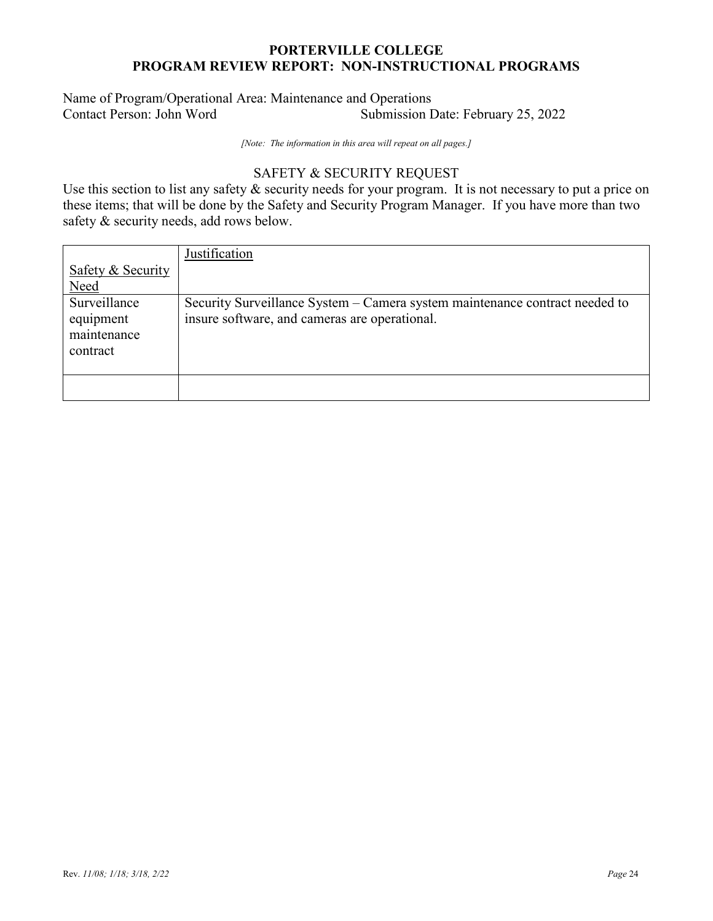## Name of Program/Operational Area: Maintenance and Operations Submission Date: February 25, 2022

*[Note: The information in this area will repeat on all pages.]*

## SAFETY & SECURITY REQUEST

Use this section to list any safety & security needs for your program. It is not necessary to put a price on these items; that will be done by the Safety and Security Program Manager. If you have more than two safety & security needs, add rows below.

|                                                      | Justification                                                                                                                |
|------------------------------------------------------|------------------------------------------------------------------------------------------------------------------------------|
| Safety & Security                                    |                                                                                                                              |
| <b>Need</b>                                          |                                                                                                                              |
| Surveillance<br>equipment<br>maintenance<br>contract | Security Surveillance System – Camera system maintenance contract needed to<br>insure software, and cameras are operational. |
|                                                      |                                                                                                                              |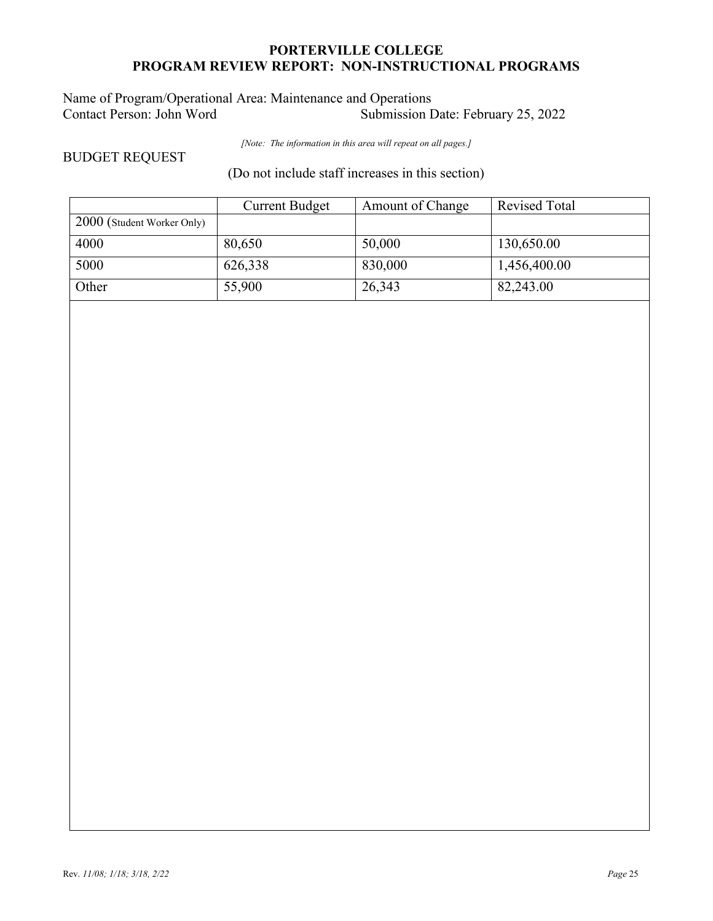## Name of Program/Operational Area: Maintenance and Operations<br>Contact Person: John Word Submission I Submission Date: February 25, 2022

*[Note: The information in this area will repeat on all pages.]*

BUDGET REQUEST

(Do not include staff increases in this section)

|                            | <b>Current Budget</b> | Amount of Change | <b>Revised Total</b> |
|----------------------------|-----------------------|------------------|----------------------|
| 2000 (Student Worker Only) |                       |                  |                      |
| 4000                       | 80,650                | 50,000           | 130,650.00           |
| 5000                       | 626,338               | 830,000          | 1,456,400.00         |
| Other                      | 55,900                | 26,343           | 82,243.00            |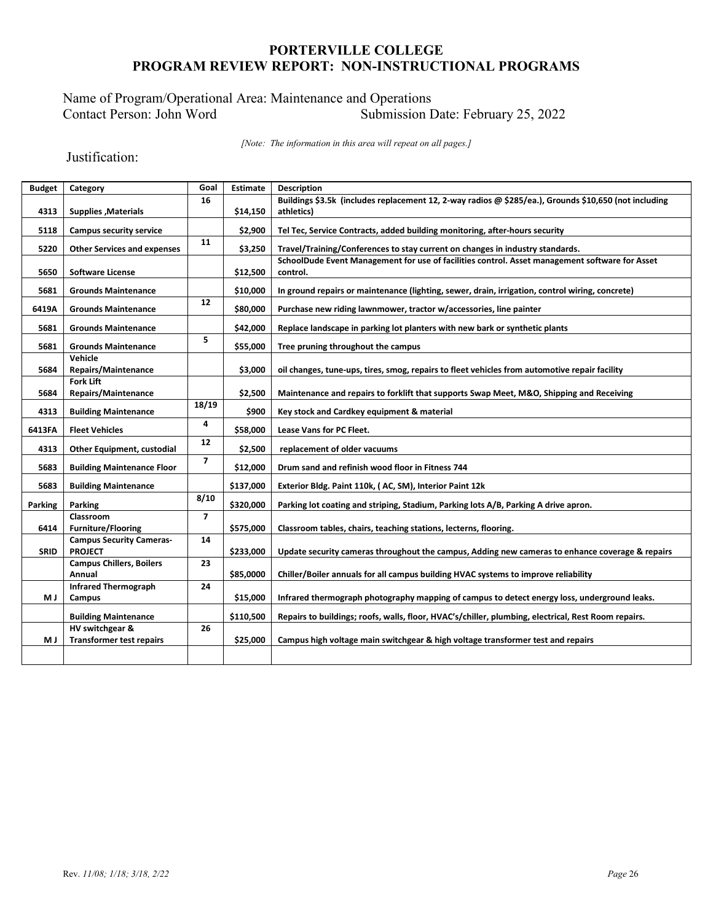## Name of Program/Operational Area: Maintenance and Operations<br>Contact Person: John Word Submission I Submission Date: February 25, 2022

*[Note: The information in this area will repeat on all pages.]*

Justification:

| <b>Budget</b> | Category                                  | Goal           | <b>Estimate</b> | <b>Description</b>                                                                                         |
|---------------|-------------------------------------------|----------------|-----------------|------------------------------------------------------------------------------------------------------------|
|               |                                           | 16             |                 | Buildings \$3.5k (includes replacement 12, 2-way radios @ \$285/ea.), Grounds \$10,650 (not including      |
| 4313          | <b>Supplies , Materials</b>               |                | \$14,150        | athletics)                                                                                                 |
| 5118          | <b>Campus security service</b>            |                | \$2,900         | Tel Tec, Service Contracts, added building monitoring, after-hours security                                |
| 5220          | <b>Other Services and expenses</b>        | 11             | \$3,250         | Travel/Training/Conferences to stay current on changes in industry standards.                              |
| 5650          | <b>Software License</b>                   |                | \$12,500        | SchoolDude Event Management for use of facilities control. Asset management software for Asset<br>control. |
| 5681          | <b>Grounds Maintenance</b>                |                | \$10,000        | In ground repairs or maintenance (lighting, sewer, drain, irrigation, control wiring, concrete)            |
| 6419A         | <b>Grounds Maintenance</b>                | 12             | \$80,000        | Purchase new riding lawnmower, tractor w/accessories, line painter                                         |
| 5681          | <b>Grounds Maintenance</b>                |                | \$42,000        | Replace landscape in parking lot planters with new bark or synthetic plants                                |
| 5681          | <b>Grounds Maintenance</b>                | 5              | \$55,000        | Tree pruning throughout the campus                                                                         |
|               | Vehicle                                   |                |                 |                                                                                                            |
| 5684          | <b>Repairs/Maintenance</b>                |                | \$3,000         | oil changes, tune-ups, tires, smog, repairs to fleet vehicles from automotive repair facility              |
| 5684          | <b>Fork Lift</b><br>Repairs/Maintenance   |                | \$2,500         | Maintenance and repairs to forklift that supports Swap Meet, M&O, Shipping and Receiving                   |
| 4313          | <b>Building Maintenance</b>               | 18/19          | \$900           | Key stock and Cardkey equipment & material                                                                 |
| 6413FA        | <b>Fleet Vehicles</b>                     | 4              | \$58,000        | <b>Lease Vans for PC Fleet.</b>                                                                            |
| 4313          | <b>Other Equipment, custodial</b>         | 12             | \$2,500         | replacement of older vacuums                                                                               |
| 5683          | <b>Building Maintenance Floor</b>         | $\overline{7}$ | \$12,000        | Drum sand and refinish wood floor in Fitness 744                                                           |
| 5683          | <b>Building Maintenance</b>               |                | \$137,000       | Exterior Bldg. Paint 110k, (AC, SM), Interior Paint 12k                                                    |
| Parking       | Parking                                   | 8/10           | \$320,000       | Parking lot coating and striping, Stadium, Parking lots A/B, Parking A drive apron.                        |
|               | Classroom                                 | $\overline{7}$ |                 |                                                                                                            |
| 6414          | <b>Furniture/Flooring</b>                 |                | \$575,000       | Classroom tables, chairs, teaching stations, lecterns, flooring.                                           |
|               | <b>Campus Security Cameras-</b>           | 14             |                 |                                                                                                            |
| <b>SRID</b>   | <b>PROJECT</b>                            |                | \$233,000       | Update security cameras throughout the campus, Adding new cameras to enhance coverage & repairs            |
|               | <b>Campus Chillers, Boilers</b><br>Annual | 23             | \$85,0000       | Chiller/Boiler annuals for all campus building HVAC systems to improve reliability                         |
|               | <b>Infrared Thermograph</b>               | 24             |                 |                                                                                                            |
| M J           | Campus                                    |                | \$15,000        | Infrared thermograph photography mapping of campus to detect energy loss, underground leaks.               |
|               | <b>Building Maintenance</b>               |                | \$110,500       | Repairs to buildings; roofs, walls, floor, HVAC's/chiller, plumbing, electrical, Rest Room repairs.        |
|               | HV switchgear &                           | 26             |                 |                                                                                                            |
| МJ            | <b>Transformer test repairs</b>           |                | \$25,000        | Campus high voltage main switchgear & high voltage transformer test and repairs                            |
|               |                                           |                |                 |                                                                                                            |
|               |                                           |                |                 |                                                                                                            |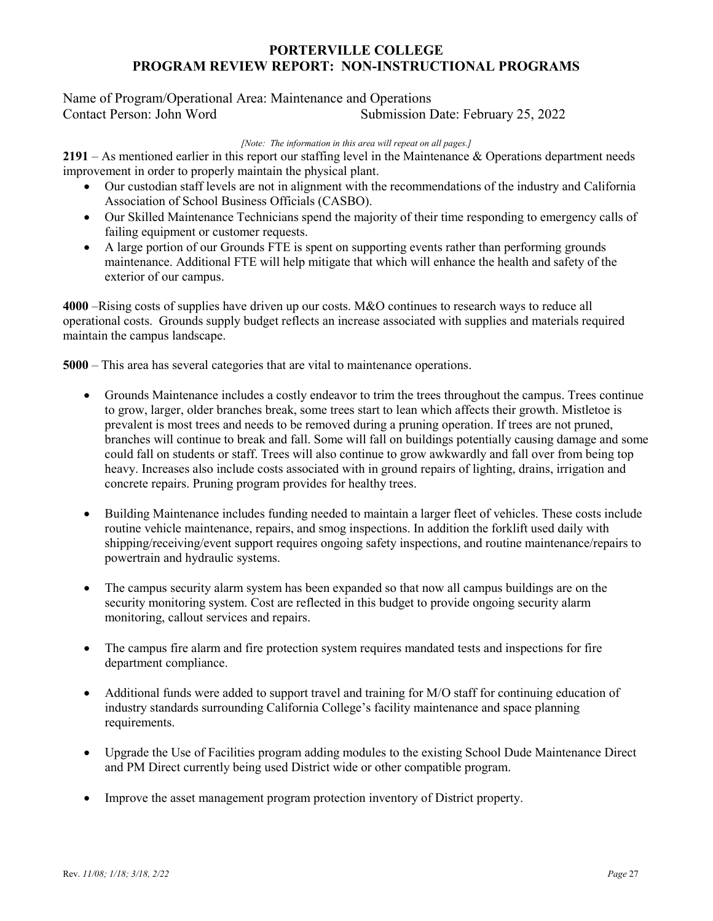### Name of Program/Operational Area: Maintenance and Operations Submission Date: February 25, 2022

*[Note: The information in this area will repeat on all pages.]*

**2191** – As mentioned earlier in this report our staffing level in the Maintenance & Operations department needs improvement in order to properly maintain the physical plant.

- Our custodian staff levels are not in alignment with the recommendations of the industry and California Association of School Business Officials (CASBO).
- Our Skilled Maintenance Technicians spend the majority of their time responding to emergency calls of failing equipment or customer requests.
- A large portion of our Grounds FTE is spent on supporting events rather than performing grounds maintenance. Additional FTE will help mitigate that which will enhance the health and safety of the exterior of our campus.

**4000** –Rising costs of supplies have driven up our costs. M&O continues to research ways to reduce all operational costs. Grounds supply budget reflects an increase associated with supplies and materials required maintain the campus landscape.

**5000** – This area has several categories that are vital to maintenance operations.

- Grounds Maintenance includes a costly endeavor to trim the trees throughout the campus. Trees continue to grow, larger, older branches break, some trees start to lean which affects their growth. Mistletoe is prevalent is most trees and needs to be removed during a pruning operation. If trees are not pruned, branches will continue to break and fall. Some will fall on buildings potentially causing damage and some could fall on students or staff. Trees will also continue to grow awkwardly and fall over from being top heavy. Increases also include costs associated with in ground repairs of lighting, drains, irrigation and concrete repairs. Pruning program provides for healthy trees.
- Building Maintenance includes funding needed to maintain a larger fleet of vehicles. These costs include routine vehicle maintenance, repairs, and smog inspections. In addition the forklift used daily with shipping/receiving/event support requires ongoing safety inspections, and routine maintenance/repairs to powertrain and hydraulic systems.
- The campus security alarm system has been expanded so that now all campus buildings are on the security monitoring system. Cost are reflected in this budget to provide ongoing security alarm monitoring, callout services and repairs.
- The campus fire alarm and fire protection system requires mandated tests and inspections for fire department compliance.
- Additional funds were added to support travel and training for M/O staff for continuing education of industry standards surrounding California College's facility maintenance and space planning requirements.
- Upgrade the Use of Facilities program adding modules to the existing School Dude Maintenance Direct and PM Direct currently being used District wide or other compatible program.
- Improve the asset management program protection inventory of District property.